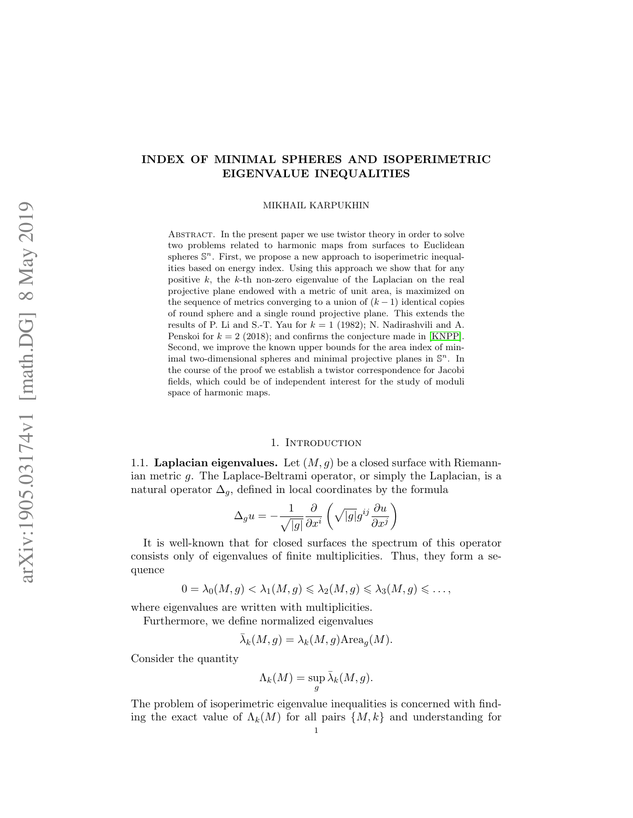# INDEX OF MINIMAL SPHERES AND ISOPERIMETRIC EIGENVALUE INEQUALITIES

MIKHAIL KARPUKHIN

ABSTRACT. In the present paper we use twistor theory in order to solve two problems related to harmonic maps from surfaces to Euclidean spheres  $\mathbb{S}^n$ . First, we propose a new approach to isoperimetric inequalities based on energy index. Using this approach we show that for any positive *k*, the *k*-th non-zero eigenvalue of the Laplacian on the real projective plane endowed with a metric of unit area, is maximized on the sequence of metrics converging to a union of  $(k-1)$  identical copies of round sphere and a single round projective plane. This extends the results of P. Li and S.-T. Yau for  $k = 1$  (1982); N. Nadirashvili and A. Penskoi for  $k = 2$  (2018); and confirms the conjecture made in [\[KNPP\]](#page-33-0). Second, we improve the known upper bounds for the area index of minimal two-dimensional spheres and minimal projective planes in S*<sup>n</sup>*. In the course of the proof we establish a twistor correspondence for Jacobi fields, which could be of independent interest for the study of moduli space of harmonic maps.

# 1. INTRODUCTION

1.1. **Laplacian eigenvalues.** Let  $(M, g)$  be a closed surface with Riemannian metric *g*. The Laplace-Beltrami operator, or simply the Laplacian, is a natural operator  $\Delta_q$ , defined in local coordinates by the formula

$$
\Delta_g u = -\frac{1}{\sqrt{|g|}} \frac{\partial}{\partial x^i} \left( \sqrt{|g|} g^{ij} \frac{\partial u}{\partial x^j} \right)
$$

It is well-known that for closed surfaces the spectrum of this operator consists only of eigenvalues of finite multiplicities. Thus, they form a sequence

$$
0=\lambda_0(M,g)<\lambda_1(M,g)\leqslant \lambda_2(M,g)\leqslant \lambda_3(M,g)\leqslant \ldots,
$$

where eigenvalues are written with multiplicities.

Furthermore, we define normalized eigenvalues

$$
\bar{\lambda}_k(M,g) = \lambda_k(M,g) \text{Area}_g(M).
$$

Consider the quantity

$$
\Lambda_k(M) = \sup_g \bar{\lambda}_k(M, g).
$$

The problem of isoperimetric eigenvalue inequalities is concerned with finding the exact value of  $\Lambda_k(M)$  for all pairs  $\{M, k\}$  and understanding for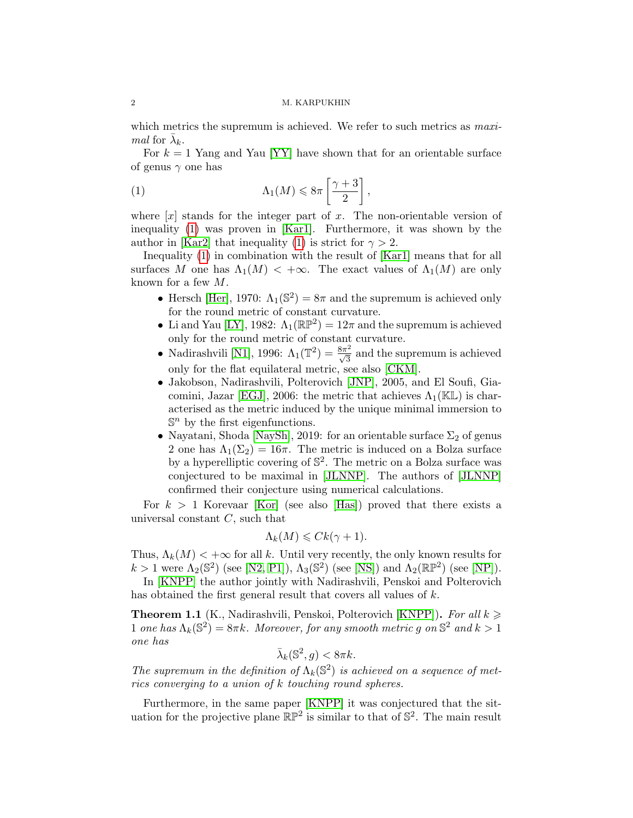which metrics the supremum is achieved. We refer to such metrics as *maximal* for  $\lambda_k$ .

For  $k = 1$  Yang and Yau [\[YY\]](#page-34-0) have shown that for an orientable surface of genus  $\gamma$  one has

<span id="page-1-0"></span>
$$
(1) \qquad \qquad \Lambda_1(M) \leq 8\pi \left[\frac{\gamma+3}{2}\right],
$$

where  $[x]$  stands for the integer part of  $x$ . The non-orientable version of inequality [\(1\)](#page-1-0) was proven in [\[Kar1\]](#page-33-1). Furthermore, it was shown by the author in [\[Kar2\]](#page-33-2) that inequality [\(1\)](#page-1-0) is strict for  $\gamma > 2$ .

Inequality [\(1\)](#page-1-0) in combination with the result of [\[Kar1\]](#page-33-1) means that for all surfaces M one has  $\Lambda_1(M) < +\infty$ . The exact values of  $\Lambda_1(M)$  are only known for a few *M*.

- Hersch [\[Her\]](#page-33-3), 1970:  $\Lambda_1(\mathbb{S}^2)=8\pi$  and the supremum is achieved only for the round metric of constant curvature.
- Li and Yau [\[LY\]](#page-34-1), 1982:  $\Lambda_1(\mathbb{RP}^2) = 12\pi$  and the supremum is achieved only for the round metric of constant curvature.
- Nadirashvili [\[N1\]](#page-34-2), 1996:  $\Lambda_1(\mathbb{T}^2) = \frac{8\pi^2}{\sqrt{3}}$  and the supremum is achieved only for the flat equilateral metric, see also [\[CKM\]](#page-33-4).
- *•* Jakobson, Nadirashvili, Polterovich [\[JNP\]](#page-33-5), 2005, and El Soufi, Gia-comini, Jazar [\[EGJ\]](#page-33-6), 2006: the metric that achieves  $\Lambda_1(\mathbb{KL})$  is characterised as the metric induced by the unique minimal immersion to  $\mathbb{S}^n$  by the first eigenfunctions.
- Nayatani, Shoda [\[NaySh\]](#page-34-3), 2019: for an orientable surface  $\Sigma_2$  of genus 2 one has  $\Lambda_1(\Sigma_2) = 16\pi$ . The metric is induced on a Bolza surface by a hyperelliptic covering of  $\mathbb{S}^2$ . The metric on a Bolza surface was conjectured to be maximal in [\[JLNNP\]](#page-33-7). The authors of [\[JLNNP\]](#page-33-7) confirmed their conjecture using numerical calculations.

For  $k > 1$  Korevaar [\[Kor\]](#page-34-4) (see also [\[Has\]](#page-33-8)) proved that there exists a universal constant *C*, such that

$$
\Lambda_k(M) \leqslant C k(\gamma + 1).
$$

Thus,  $\Lambda_k(M)$  <  $+\infty$  for all *k*. Until very recently, the only known results for  $k > 1$  were  $\Lambda_2(\mathbb{S}^2)$  (see [\[N2,](#page-34-5) [P1\]](#page-34-6)),  $\Lambda_3(\mathbb{S}^2)$  (see [\[NS\]](#page-34-7)) and  $\Lambda_2(\mathbb{RP}^2)$  (see [\[NP\]](#page-34-8)).

In [\[KNPP\]](#page-33-0) the author jointly with Nadirashvili, Penskoi and Polterovich has obtained the first general result that covers all values of *k*.

<span id="page-1-1"></span>**Theorem 1.1** (K., Nadirashvili, Penskoi, Polterovich [\[KNPP\]](#page-33-0)). For all  $k \geq$ 1 *one has*  $\Lambda_k(\mathbb{S}^2)=8\pi k$ *. Moreover, for any smooth metric q on*  $\mathbb{S}^2$  *and*  $k>1$ *one has*

$$
\bar{\lambda}_k(\mathbb{S}^2, g) < 8\pi k.
$$

The supremum in the definition of  $\Lambda_k(\mathbb{S}^2)$  is achieved on a sequence of met*rics converging to a union of k touching round spheres.*

Furthermore, in the same paper [\[KNPP\]](#page-33-0) it was conjectured that the situation for the projective plane  $\mathbb{RP}^2$  is similar to that of  $\mathbb{S}^2$ . The main result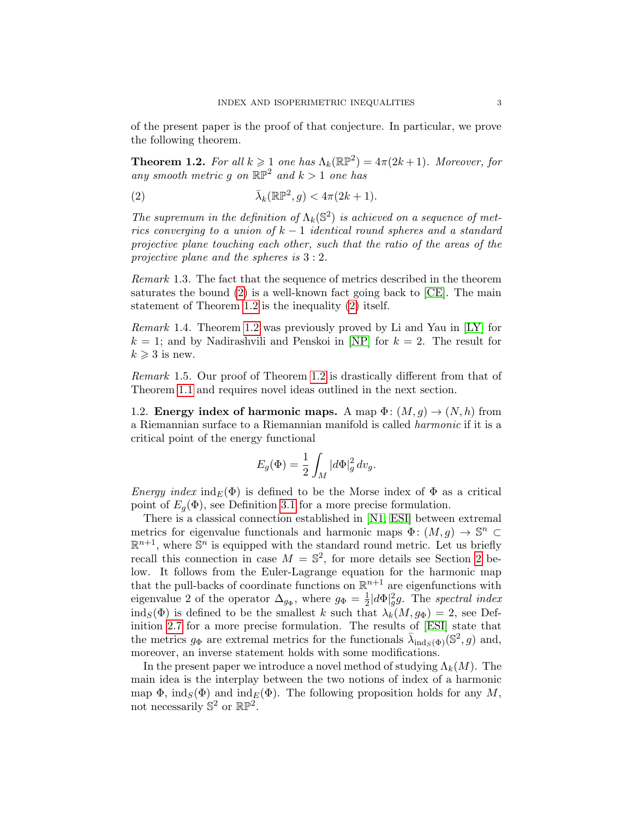of the present paper is the proof of that conjecture. In particular, we prove the following theorem.

<span id="page-2-1"></span>**Theorem 1.2.** For all  $k \geq 1$  one has  $\Lambda_k(\mathbb{RP}^2) = 4\pi(2k+1)$ *. Moreover, for any smooth metric q on*  $\mathbb{RP}^2$  *and*  $k > 1$  *one has* 

<span id="page-2-0"></span>(2) 
$$
\bar{\lambda}_k(\mathbb{RP}^2, g) < 4\pi(2k+1).
$$

The supremum in the definition of  $\Lambda_k(\mathbb{S}^2)$  is achieved on a sequence of met*rics converging to a union of*  $k-1$  *identical round spheres and a standard projective plane touching each other, such that the ratio of the areas of the projective plane and the spheres is* 3:2*.*

*Remark* 1.3*.* The fact that the sequence of metrics described in the theorem saturates the bound  $(2)$  is a well-known fact going back to [\[CE\]](#page-33-9). The main statement of Theorem [1.2](#page-2-1) is the inequality [\(2\)](#page-2-0) itself.

*Remark* 1.4*.* Theorem [1.2](#page-2-1) was previously proved by Li and Yau in [\[LY\]](#page-34-1) for  $k = 1$ ; and by Nadirashvili and Penskoi in [\[NP\]](#page-34-8) for  $k = 2$ . The result for  $k \geqslant 3$  is new.

*Remark* 1.5. Our proof of Theorem [1.2](#page-2-1) is drastically different from that of Theorem [1.1](#page-1-1) and requires novel ideas outlined in the next section.

1.2. **Energy index of harmonic maps.** A map  $\Phi$ :  $(M,g) \to (N,h)$  from a Riemannian surface to a Riemannian manifold is called *harmonic* if it is a critical point of the energy functional

$$
E_g(\Phi) = \frac{1}{2} \int_M |d\Phi|_g^2 dv_g.
$$

*Energy index*  $\text{ind}_{E}(\Phi)$  is defined to be the Morse index of  $\Phi$  as a critical point of  $E_q(\Phi)$ , see Definition [3.1](#page-10-0) for a more precise formulation.

There is a classical connection established in [\[N1,](#page-34-2) [ESI\]](#page-33-10) between extremal metrics for eigenvalue functionals and harmonic maps  $\Phi: (M, q) \to \mathbb{S}^n$  $\mathbb{R}^{n+1}$ , where  $\mathbb{S}^n$  is equipped with the standard round metric. Let us briefly recall this connection in case  $M = \mathbb{S}^2$ , for more details see Section [2](#page-5-0) below. It follows from the Euler-Lagrange equation for the harmonic map that the pull-backs of coordinate functions on  $\mathbb{R}^{n+1}$  are eigenfunctions with eigenvalue 2 of the operator  $\Delta_{g_{\Phi}}$ , where  $g_{\Phi} = \frac{1}{2} |d\Phi|_g^2 g$ . The *spectral index* ind<sub>*S*</sub>( $\Phi$ ) is defined to be the smallest *k* such that  $\lambda_k(M,g_{\Phi}) = 2$ , see Definition [2.7](#page-6-0) for a more precise formulation. The results of [\[ESI\]](#page-33-10) state that the metrics  $g_{\Phi}$  are extremal metrics for the functionals  $\bar{\lambda}_{ind_{S}(\Phi)}(\mathbb{S}^{2}, g)$  and, moreover, an inverse statement holds with some modifications.

In the present paper we introduce a novel method of studying  $\Lambda_k(M)$ . The main idea is the interplay between the two notions of index of a harmonic map  $\Phi$ , ind<sub>*S*</sub>( $\Phi$ ) and ind<sub>*E*</sub>( $\Phi$ ). The following proposition holds for any *M*, not necessarily  $\mathbb{S}^2$  or  $\mathbb{RP}^2$ .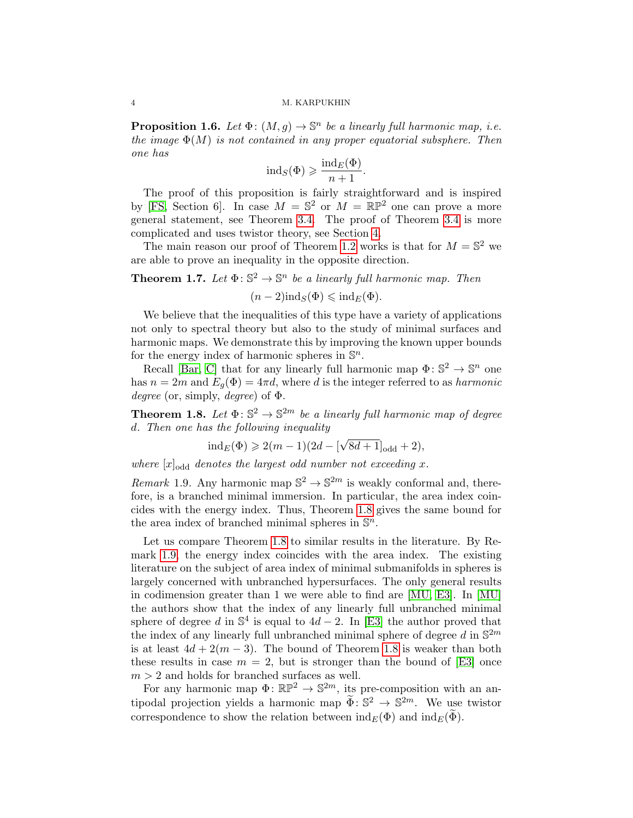<span id="page-3-3"></span>**Proposition 1.6.** *Let*  $\Phi$ :  $(M, g) \to \mathbb{S}^n$  *be a linearly full harmonic map, i.e. the image*  $\Phi(M)$  *is not contained in any proper equatorial subsphere. Then one has*

$$
ind_S(\Phi) \geqslant \frac{ind_E(\Phi)}{n+1}.
$$

The proof of this proposition is fairly straightforward and is inspired by [\[FS,](#page-33-11) Section 6]. In case  $M = \mathbb{S}^2$  or  $M = \mathbb{RP}^2$  one can prove a more general statement, see Theorem [3.4.](#page-11-0) The proof of Theorem [3.4](#page-11-0) is more complicated and uses twistor theory, see Section [4.](#page-16-0)

The main reason our proof of Theorem [1.2](#page-2-1) works is that for  $M = \mathbb{S}^2$  we are able to prove an inequality in the opposite direction.

<span id="page-3-2"></span>**Theorem 1.7.** Let  $\Phi: \mathbb{S}^2 \to \mathbb{S}^n$  be a linearly full harmonic map. Then

 $(n-2)\text{ind}_S(\Phi) \leq \text{ind}_E(\Phi)$ .

We believe that the inequalities of this type have a variety of applications not only to spectral theory but also to the study of minimal surfaces and harmonic maps. We demonstrate this by improving the known upper bounds for the energy index of harmonic spheres in S*n*.

Recall [\[Bar,](#page-32-0) [C\]](#page-33-12) that for any linearly full harmonic map  $\Phi: \mathbb{S}^2 \to \mathbb{S}^n$  one has  $n = 2m$  and  $E_g(\Phi) = 4\pi d$ , where *d* is the integer referred to as *harmonic degree* (or, simply, *degree*) of  $\Phi$ .

<span id="page-3-0"></span>**Theorem 1.8.** Let  $\Phi: \mathbb{S}^2 \to \mathbb{S}^{2m}$  be a linearly full harmonic map of degree *d. Then one has the following inequality*

$$
\mathrm{ind}_E(\Phi) \geqslant 2(m-1)(2d-[\sqrt{8d+1}]_{\mathrm{odd}}+2),
$$

where  $[x]_{\text{odd}}$  denotes the largest odd number not exceeding x.

<span id="page-3-1"></span>*Remark* 1.9. Any harmonic map  $\mathbb{S}^2 \to \mathbb{S}^{2m}$  is weakly conformal and, therefore, is a branched minimal immersion. In particular, the area index coincides with the energy index. Thus, Theorem [1.8](#page-3-0) gives the same bound for the area index of branched minimal spheres in S*n*.

Let us compare Theorem [1.8](#page-3-0) to similar results in the literature. By Remark [1.9,](#page-3-1) the energy index coincides with the area index. The existing literature on the subject of area index of minimal submanifolds in spheres is largely concerned with unbranched hypersurfaces. The only general results in codimension greater than 1 we were able to find are [\[MU,](#page-34-9) [E3\]](#page-33-13). In [\[MU\]](#page-34-9) the authors show that the index of any linearly full unbranched minimal sphere of degree *d* in  $\mathbb{S}^4$  is equal to  $4d - 2$ . In [\[E3\]](#page-33-13) the author proved that the index of any linearly full unbranched minimal sphere of degree  $d$  in  $\mathbb{S}^{2m}$ is at least  $4d + 2(m - 3)$ . The bound of Theorem [1.8](#page-3-0) is weaker than both these results in case  $m = 2$ , but is stronger than the bound of [\[E3\]](#page-33-13) once  $m > 2$  and holds for branched surfaces as well.

For any harmonic map  $\Phi: \mathbb{RP}^2 \to \mathbb{S}^{2m}$ , its pre-composition with an antipodal projection yields a harmonic map  $\Phi: \mathbb{S}^2 \to \mathbb{S}^{2m}$ . We use twistor correspondence to show the relation between  $\text{ind}_E(\Phi)$  and  $\text{ind}_E(\widetilde{\Phi})$ .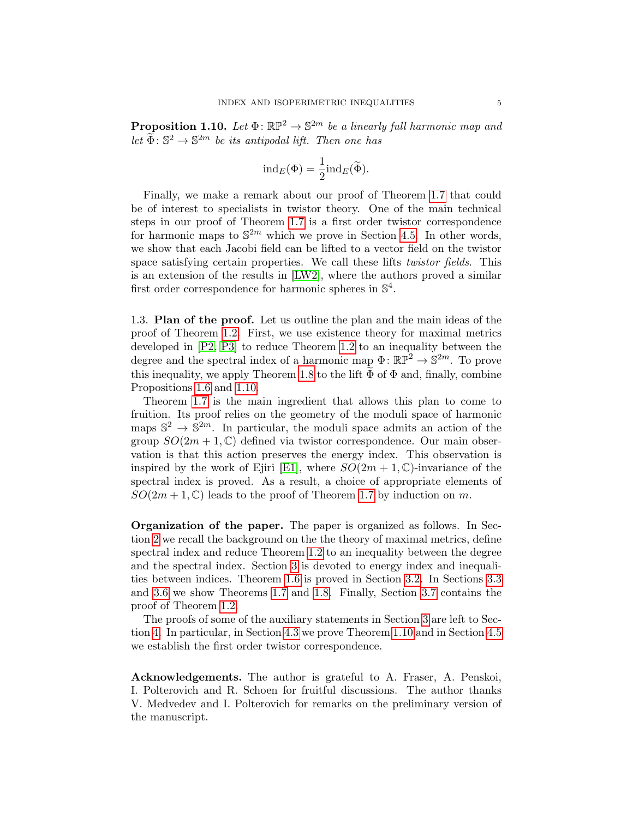<span id="page-4-0"></span>**Proposition 1.10.** Let  $\Phi$ :  $\mathbb{RP}^2 \to \mathbb{S}^{2m}$  *be a linearly full harmonic map and let*  $\widetilde{\Phi}$ :  $\mathbb{S}^2 \to \mathbb{S}^{2m}$  *be its antipodal lift. Then one has* 

$$
\mathrm{ind}_E(\Phi) = \frac{1}{2} \mathrm{ind}_E(\widetilde{\Phi}).
$$

Finally, we make a remark about our proof of Theorem [1.7](#page-3-2) that could be of interest to specialists in twistor theory. One of the main technical steps in our proof of Theorem [1.7](#page-3-2) is a first order twistor correspondence for harmonic maps to  $\mathbb{S}^{2m}$  which we prove in Section [4.5.](#page-28-0) In other words, we show that each Jacobi field can be lifted to a vector field on the twistor space satisfying certain properties. We call these lifts *twistor fields*. This is an extension of the results in [\[LW2\]](#page-34-10), where the authors proved a similar first order correspondence for harmonic spheres in  $\mathbb{S}^4$ .

1.3. Plan of the proof. Let us outline the plan and the main ideas of the proof of Theorem [1.2.](#page-2-1) First, we use existence theory for maximal metrics developed in [\[P2,](#page-34-11) [P3\]](#page-34-12) to reduce Theorem [1.2](#page-2-1) to an inequality between the degree and the spectral index of a harmonic map  $\Phi \colon \mathbb{RP}^2 \to \mathbb{S}^{2m}$ . To prove this inequality, we apply Theorem [1.8](#page-3-0) to the lift  $\Phi$  of  $\Phi$  and, finally, combine Propositions [1.6](#page-3-3) and [1.10.](#page-4-0)

Theorem [1.7](#page-3-2) is the main ingredient that allows this plan to come to fruition. Its proof relies on the geometry of the moduli space of harmonic maps  $\mathbb{S}^2 \to \mathbb{S}^{2m}$ . In particular, the moduli space admits an action of the group  $SO(2m + 1, \mathbb{C})$  defined via twistor correspondence. Our main observation is that this action preserves the energy index. This observation is inspired by the work of Ejiri [\[E1\]](#page-33-14), where  $SO(2m + 1, \mathbb{C})$ -invariance of the spectral index is proved. As a result, a choice of appropriate elements of  $SO(2m+1,\mathbb{C})$  leads to the proof of Theorem [1.7](#page-3-2) by induction on *m*.

Organization of the paper. The paper is organized as follows. In Section [2](#page-5-0) we recall the background on the the theory of maximal metrics, define spectral index and reduce Theorem [1.2](#page-2-1) to an inequality between the degree and the spectral index. Section [3](#page-9-0) is devoted to energy index and inequalities between indices. Theorem [1.6](#page-3-3) is proved in Section [3.2.](#page-10-1) In Sections [3.3](#page-11-1) and [3.6](#page-14-0) we show Theorems [1.7](#page-3-2) and [1.8.](#page-3-0) Finally, Section [3.7](#page-15-0) contains the proof of Theorem [1.2.](#page-2-1)

The proofs of some of the auxiliary statements in Section [3](#page-9-0) are left to Section [4.](#page-16-0) In particular, in Section [4.3](#page-19-0) we prove Theorem [1.10](#page-4-0) and in Section [4.5](#page-28-0) we establish the first order twistor correspondence.

Acknowledgements. The author is grateful to A. Fraser, A. Penskoi, I. Polterovich and R. Schoen for fruitful discussions. The author thanks V. Medvedev and I. Polterovich for remarks on the preliminary version of the manuscript.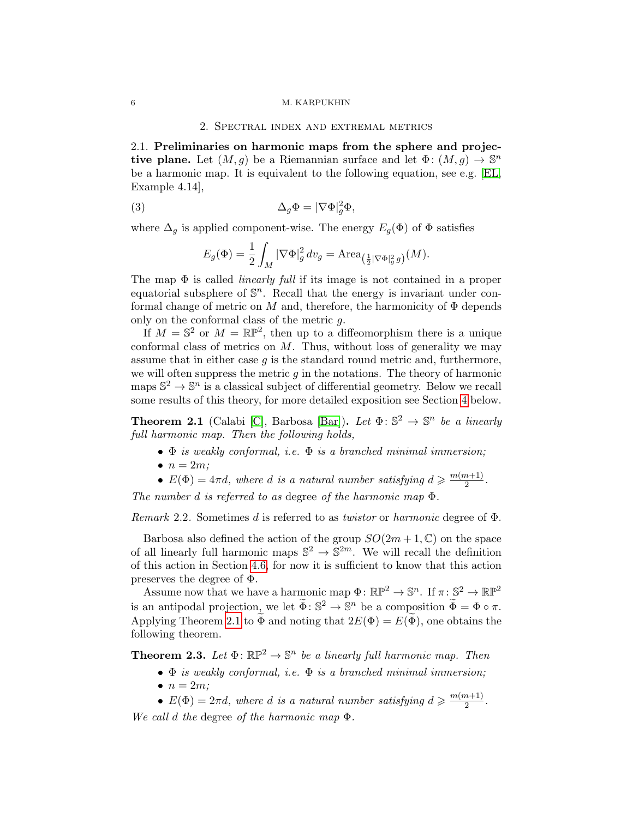#### 2. Spectral index and extremal metrics

<span id="page-5-0"></span>2.1. Preliminaries on harmonic maps from the sphere and projective plane. Let  $(M, q)$  be a Riemannian surface and let  $\Phi: (M, q) \to \mathbb{S}^n$ be a harmonic map. It is equivalent to the following equation, see e.g. [\[EL,](#page-33-15) Example 4.14],

(3) 
$$
\Delta_g \Phi = |\nabla \Phi|_g^2 \Phi,
$$

where  $\Delta_q$  is applied component-wise. The energy  $E_q(\Phi)$  of  $\Phi$  satisfies

<span id="page-5-3"></span>
$$
E_g(\Phi) = \frac{1}{2} \int_M |\nabla \Phi|_g^2 dv_g = \text{Area}_{\left(\frac{1}{2}|\nabla \Phi|_g^2 g\right)}(M).
$$

The map  $\Phi$  is called *linearly full* if its image is not contained in a proper equatorial subsphere of  $\mathbb{S}^n$ . Recall that the energy is invariant under conformal change of metric on  $M$  and, therefore, the harmonicity of  $\Phi$  depends only on the conformal class of the metric *g*.

If  $M = \mathbb{S}^2$  or  $M = \mathbb{RP}^2$ , then up to a diffeomorphism there is a unique conformal class of metrics on *M*. Thus, without loss of generality we may assume that in either case *g* is the standard round metric and, furthermore, we will often suppress the metric *g* in the notations. The theory of harmonic maps  $\mathbb{S}^2 \to \mathbb{S}^n$  is a classical subject of differential geometry. Below we recall some results of this theory, for more detailed exposition see Section [4](#page-16-0) below.

<span id="page-5-1"></span>**Theorem 2.1** (Calabi [\[C\]](#page-33-12), Barbosa [\[Bar\]](#page-32-0)). Let  $\Phi: \mathbb{S}^2 \to \mathbb{S}^n$  be a linearly *full harmonic map. Then the following holds,*

- *• is weakly conformal, i.e. is a branched minimal immersion;*
- $n = 2m$ ;
- $E(\Phi) = 4\pi d$ , where *d* is a natural number satisfying  $d \ge \frac{m(m+1)}{2}$ .

The number  $d$  *is referred to as degree of the harmonic map*  $\Phi$ .

*Remark* 2.2*.* Sometimes *d* is referred to as *twistor* or *harmonic* degree of .

Barbosa also defined the action of the group  $SO(2m+1,\mathbb{C})$  on the space of all linearly full harmonic maps  $\mathbb{S}^2 \to \mathbb{S}^{2m}$ . We will recall the definition of this action in Section [4.6,](#page-31-0) for now it is sufficient to know that this action preserves the degree of  $\Phi$ .

Assume now that we have a harmonic map  $\Phi: \mathbb{RP}^2 \to \mathbb{S}^n$ . If  $\pi: \mathbb{S}^2 \to \mathbb{RP}^2$ is an antipodal projection, we let  $\widetilde{\Phi} : \mathbb{S}^2 \to \mathbb{S}^n$  be a composition  $\widetilde{\Phi} = \Phi \circ \pi$ . Applying Theorem [2.1](#page-5-1) to  $\Phi$  and noting that  $2E(\Phi) = E(\Phi)$ , one obtains the following theorem.

<span id="page-5-2"></span>**Theorem 2.3.** Let  $\Phi$ :  $\mathbb{RP}^2 \to \mathbb{S}^n$  be a linearly full harmonic map. Then

- *• is weakly conformal, i.e. is a branched minimal immersion;*
- $n = 2m$ ;

•  $E(\Phi) = 2\pi d$ , where *d* is a natural number satisfying  $d \ge \frac{m(m+1)}{2}$ . *We call d the degree of the harmonic map*  $\Phi$ .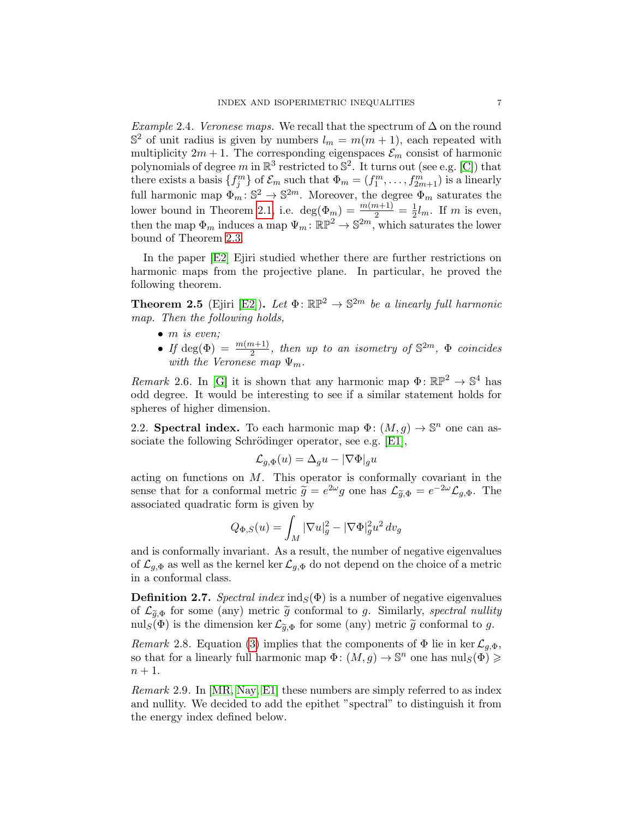<span id="page-6-1"></span>*Example* 2.4*. Veronese maps.* We recall that the spectrum of  $\Delta$  on the round  $\mathbb{S}^2$  of unit radius is given by numbers  $l_m = m(m+1)$ , each repeated with multiplicity  $2m + 1$ . The corresponding eigenspaces  $\mathcal{E}_m$  consist of harmonic polynomials of degree *m* in  $\mathbb{R}^3$  restricted to  $\mathbb{S}^2$ . It turns out (see e.g. [\[C\]](#page-33-12)) that there exists a basis  $\{f_j^m\}$  of  $\mathcal{E}_m$  such that  $\Phi_m = (f_1^m, \ldots, f_{2m+1}^m)$  is a linearly full harmonic map  $\Phi_m : \mathbb{S}^2 \to \mathbb{S}^{2m}$ . Moreover, the degree  $\Phi_m$  saturates the lower bound in Theorem [2.1,](#page-5-1) i.e.  $\deg(\Phi_m) = \frac{m(m+1)}{2} = \frac{1}{2}l_m$ . If *m* is even, then the map  $\Phi_m$  induces a map  $\Psi_m: \mathbb{RP}^2 \to \mathbb{S}^{2m}$ , which saturates the lower bound of Theorem [2.3.](#page-5-2)

In the paper [\[E2\]](#page-33-16) Ejiri studied whether there are further restrictions on harmonic maps from the projective plane. In particular, he proved the following theorem.

<span id="page-6-2"></span>**Theorem 2.5** (Ejiri [\[E2\]](#page-33-16)). Let  $\Phi$ :  $\mathbb{RP}^2 \to \mathbb{S}^{2m}$  *be a linearly full harmonic map. Then the following holds,*

- *• m is even;*
- If deg( $\Phi$ ) =  $\frac{m(m+1)}{2}$ , then up to an isometry of  $\mathbb{S}^{2m}$ ,  $\Phi$  coincides *with the Veronese map*  $\Psi_m$ *.*

*Remark* 2.6. In [\[G\]](#page-33-17) it is shown that any harmonic map  $\Phi \colon \mathbb{RP}^2 \to \mathbb{S}^4$  has odd degree. It would be interesting to see if a similar statement holds for spheres of higher dimension.

2.2. **Spectral index.** To each harmonic map  $\Phi$ :  $(M, g) \to \mathbb{S}^n$  one can associate the following Schrödinger operator, see e.g.  $[E1]$ ,

$$
\mathcal{L}_{g,\Phi}(u) = \Delta_g u - |\nabla \Phi|_g u
$$

acting on functions on *M*. This operator is conformally covariant in the sense that for a conformal metric  $\tilde{g} = e^{2\omega}g$  one has  $\mathcal{L}_{\tilde{g},\Phi} = e^{-2\omega}\mathcal{L}_{g,\Phi}$ . The associated quadratic form is given by

$$
Q_{\Phi,S}(u)=\int_M|\nabla u|_g^2-|\nabla\Phi|_g^2u^2\,dv_g
$$

and is conformally invariant. As a result, the number of negative eigenvalues of  $\mathcal{L}_{g,\Phi}$  as well as the kernel ker  $\mathcal{L}_{g,\Phi}$  do not depend on the choice of a metric in a conformal class.

<span id="page-6-0"></span>**Definition 2.7.** *Spectral index*  $\text{ind}_{S}(\Phi)$  is a number of negative eigenvalues of  $\mathcal{L}_{\tilde{q},\Phi}$  for some (any) metric  $\tilde{g}$  conformal to *g*. Similarly, *spectral nullity* nul<sub>S</sub>( $\Phi$ ) is the dimension ker  $\mathcal{L}_{\tilde{q},\Phi}$  for some (any) metric  $\tilde{g}$  conformal to *g*.

*Remark* 2.8. Equation [\(3\)](#page-5-3) implies that the components of  $\Phi$  lie in ker  $\mathcal{L}_{q,\Phi}$ , so that for a linearly full harmonic map  $\Phi: (M,g) \to \mathbb{S}^n$  one has  $\text{null}_S(\Phi) \geq$  $n + 1$ .

*Remark* 2.9*.* In [\[MR,](#page-34-13) [Nay,](#page-34-14) [E1\]](#page-33-14) these numbers are simply referred to as index and nullity. We decided to add the epithet "spectral" to distinguish it from the energy index defined below.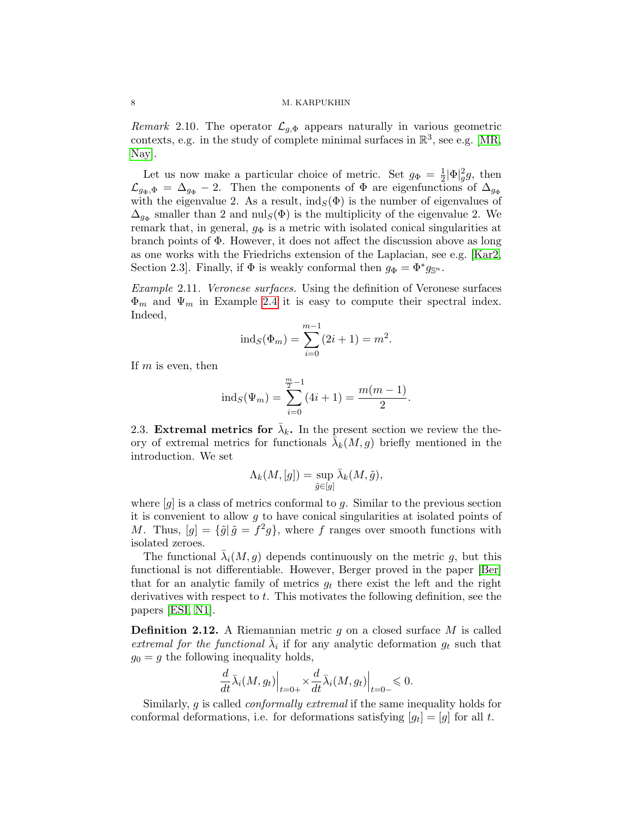*Remark* 2.10. The operator  $\mathcal{L}_{q,\Phi}$  appears naturally in various geometric contexts, e.g. in the study of complete minimal surfaces in  $\mathbb{R}^3$ , see e.g. [\[MR,](#page-34-13) [Nay\]](#page-34-14).

Let us now make a particular choice of metric. Set  $g_{\Phi} = \frac{1}{2} |\Phi|_g^2 g$ , then  $\mathcal{L}_{g_{\Phi},\Phi} = \Delta_{g_{\Phi}} - 2$ . Then the components of  $\Phi$  are eigenfunctions of  $\Delta_{g_{\Phi}}$ with the eigenvalue 2. As a result,  $\text{ind}_S(\Phi)$  is the number of eigenvalues of  $\Delta_{g_{\Phi}}$  smaller than 2 and nul<sub>*S*</sub>( $\Phi$ ) is the multiplicity of the eigenvalue 2. We remark that, in general,  $g_{\Phi}$  is a metric with isolated conical singularities at branch points of  $\Phi$ . However, it does not affect the discussion above as long as one works with the Friedrichs extension of the Laplacian, see e.g. [\[Kar2,](#page-33-2) Section 2.3]. Finally, if  $\Phi$  is weakly conformal then  $g_{\Phi} = \Phi^* g_{\mathbb{S}^n}$ .

<span id="page-7-0"></span>*Example* 2.11*. Veronese surfaces.* Using the definition of Veronese surfaces  $\Phi_m$  and  $\Psi_m$  in Example [2.4](#page-6-1) it is easy to compute their spectral index. Indeed,

$$
ind_S(\Phi_m) = \sum_{i=0}^{m-1} (2i+1) = m^2.
$$

If *m* is even, then

$$
ind_S(\Psi_m) = \sum_{i=0}^{\frac{m}{2}-1} (4i+1) = \frac{m(m-1)}{2}.
$$

2.3. Extremal metrics for  $\bar{\lambda}_k$ . In the present section we review the theory of extremal metrics for functionals  $\bar{\lambda}_k(M,g)$  briefly mentioned in the introduction. We set

$$
\Lambda_k(M,[g])=\sup_{\tilde{g}\in[g]}\bar{\lambda}_k(M,\tilde{g}),
$$

where [*g*] is a class of metrics conformal to *g*. Similar to the previous section it is convenient to allow *g* to have conical singularities at isolated points of *M*. Thus,  $[g] = {\{\tilde{g} | \tilde{g} = f^2g\}}$ , where *f* ranges over smooth functions with isolated zeroes.

The functional  $\bar{\lambda}_i(M,g)$  depends continuously on the metric g, but this functional is not differentiable. However, Berger proved in the paper [\[Ber\]](#page-32-1) that for an analytic family of metrics  $g_t$  there exist the left and the right derivatives with respect to *t*. This motivates the following definition, see the papers [\[ESI,](#page-33-10) [N1\]](#page-34-2).

Definition 2.12. A Riemannian metric *g* on a closed surface *M* is called *extremal for the functional*  $\lambda_i$  if for any analytic deformation  $g_t$  such that  $g_0 = g$  the following inequality holds,

$$
\frac{d}{dt}\bar{\lambda}_i(M,g_t)\Big|_{t=0+} \times \frac{d}{dt}\bar{\lambda}_i(M,g_t)\Big|_{t=0-} \leq 0.
$$

Similarly, *g* is called *conformally extremal* if the same inequality holds for conformal deformations, i.e. for deformations satisfying  $[g_t]=[g]$  for all *t*.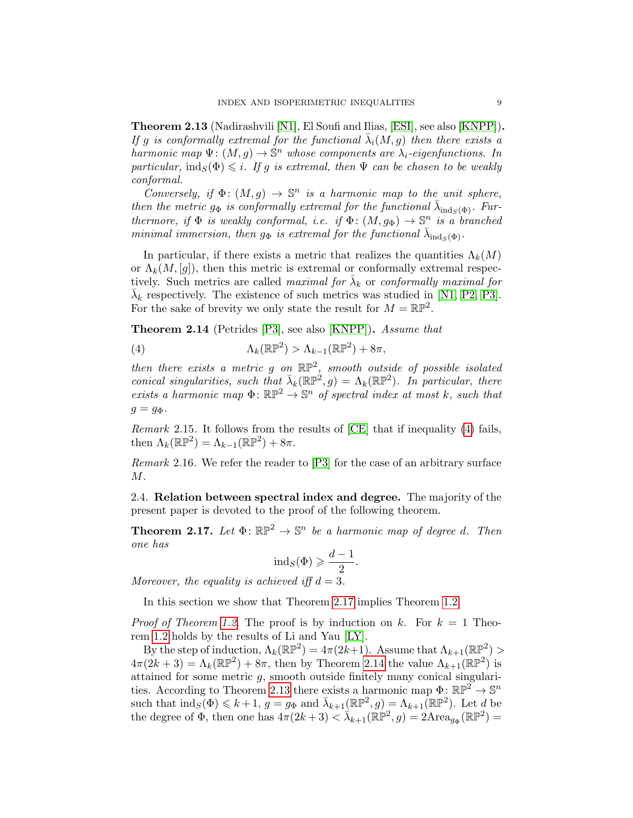<span id="page-8-3"></span>Theorem 2.13 (Nadirashvili [\[N1\]](#page-34-2), El Soufi and Ilias, [\[ESI\]](#page-33-10), see also [\[KNPP\]](#page-33-0)). *If g is conformally extremal for the functional*  $\overline{\lambda}_i(M,g)$  *then there exists a harmonic map*  $\Psi: (M,g) \to \mathbb{S}^n$  *whose components are*  $\lambda_i$ -eigenfunctions. In *particular,*  $\text{ind}_S(\Phi) \leq i$ *. If g is extremal, then*  $\Psi$  *can be chosen to be weakly conformal.*

*Conversely, if*  $\Phi$ :  $(M, g) \rightarrow \mathbb{S}^n$  *is a harmonic map to the unit sphere, then the metric*  $g_{\Phi}$  *is conformally extremal for the functional*  $\bar{\lambda}_{ind_{S}(\Phi)}$ *. Furthermore, if*  $\Phi$  *is weakly conformal, i.e. if*  $\Phi$ :  $(M, g_{\Phi}) \rightarrow \mathbb{S}^n$  *is a branched minimal immersion, then*  $g_{\Phi}$  *is extremal for the functional*  $\bar{\lambda}_{ind_{\Phi}(\Phi)}$ .

In particular, if there exists a metric that realizes the quantities  $\Lambda_k(M)$ or  $\Lambda_k(M,[q])$ , then this metric is extremal or conformally extremal respectively. Such metrics are called *maximal for*  $\lambda_k$  or *conformally maximal for*  $\bar{\lambda}_k$  respectively. The existence of such metrics was studied in [\[N1,](#page-34-2) [P2,](#page-34-11) [P3\]](#page-34-12). For the sake of brevity we only state the result for  $M = \mathbb{RP}^2$ .

<span id="page-8-2"></span>Theorem 2.14 (Petrides [\[P3\]](#page-34-12), see also [\[KNPP\]](#page-33-0)). *Assume that*

<span id="page-8-0"></span>(4) 
$$
\Lambda_k(\mathbb{RP}^2) > \Lambda_{k-1}(\mathbb{RP}^2) + 8\pi,
$$

*then there exists a metric g on* RP2*, smooth outside of possible isolated conical singularities, such that*  $\bar{\lambda}_k(\mathbb{RP}^2, g) = \Lambda_k(\mathbb{RP}^2)$ *. In particular, there exists a harmonic map*  $\Phi: \mathbb{RP}^2 \to \mathbb{S}^n$  *of spectral index at most k, such that*  $g = g\Phi$ .

*Remark* 2.15*.* It follows from the results of [\[CE\]](#page-33-9) that if inequality [\(4\)](#page-8-0) fails, then  $\Lambda_k(\mathbb{RP}^2) = \Lambda_{k-1}(\mathbb{RP}^2) + 8\pi$ .

*Remark* 2.16*.* We refer the reader to [\[P3\]](#page-34-12) for the case of an arbitrary surface *M*.

2.4. Relation between spectral index and degree. The majority of the present paper is devoted to the proof of the following theorem.

<span id="page-8-1"></span>**Theorem 2.17.** Let  $\Phi$ :  $\mathbb{RP}^2 \to \mathbb{S}^n$  be a harmonic map of degree *d*. Then *one has*

$$
ind_S(\Phi) \geqslant \frac{d-1}{2}.
$$

*Moreover, the equality is achieved iff*  $d = 3$ *.* 

In this section we show that Theorem [2.17](#page-8-1) implies Theorem [1.2.](#page-2-1)

*Proof of Theorem [1.2.](#page-2-1)* The proof is by induction on  $k$ . For  $k = 1$  Theorem [1.2](#page-2-1) holds by the results of Li and Yau [\[LY\]](#page-34-1).

By the step of induction,  $\Lambda_k(\mathbb{RP}^2)=4\pi(2k+1)$ . Assume that  $\Lambda_{k+1}(\mathbb{RP}^2)$  $4\pi(2k+3) = \Lambda_k(\mathbb{RP}^2) + 8\pi$ , then by Theorem [2.14](#page-8-2) the value  $\Lambda_{k+1}(\mathbb{RP}^2)$  is attained for some metric *g*, smooth outside finitely many conical singulari-ties. According to Theorem [2.13](#page-8-3) there exists a harmonic map  $\Phi \colon \mathbb{RP}^2 \to \mathbb{S}^n$ such that  $\text{ind}_{S}(\Phi) \leq k+1$ ,  $g = g_{\Phi}$  and  $\bar{\lambda}_{k+1}(\mathbb{RP}^2, g) = \Lambda_{k+1}(\mathbb{RP}^2)$ . Let *d* be the degree of  $\Phi$ , then one has  $4\pi(2k+3) < \lambda_{k+1}(\mathbb{RP}^2, g) = 2 \text{Area}_{g_{\Phi}}(\mathbb{RP}^2) =$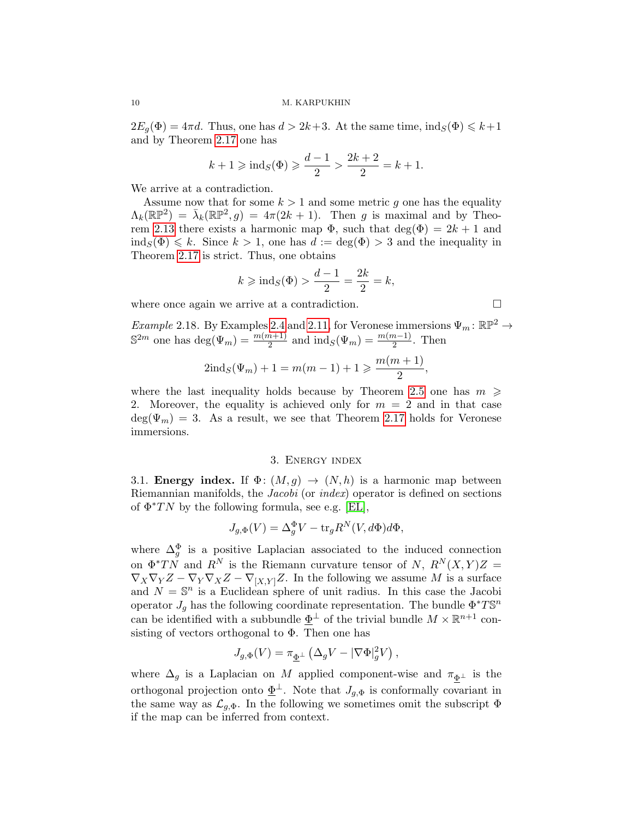$2E_g(\Phi) = 4\pi d$ . Thus, one has  $d > 2k+3$ . At the same time,  $\text{ind}_S(\Phi) \leq k+1$ and by Theorem [2.17](#page-8-1) one has

$$
k + 1 \ge \text{ind}_S(\Phi) \ge \frac{d-1}{2} > \frac{2k+2}{2} = k + 1.
$$

We arrive at a contradiction.

Assume now that for some  $k > 1$  and some metric q one has the equality  $\Lambda_k(\mathbb{RP}^2) = \bar{\lambda}_k(\mathbb{RP}^2, g) = 4\pi(2k + 1)$ . Then *g* is maximal and by Theo-rem [2.13](#page-8-3) there exists a harmonic map  $\Phi$ , such that deg( $\Phi$ ) = 2*k* + 1 and  $\text{ind}_{S}(\Phi) \leq k$ . Since  $k > 1$ , one has  $d := \text{deg}(\Phi) > 3$  and the inequality in Theorem [2.17](#page-8-1) is strict. Thus, one obtains

$$
k \ge \text{ind}_S(\Phi) > \frac{d-1}{2} = \frac{2k}{2} = k,
$$

where once again we arrive at a contradiction.  $\Box$ 

<span id="page-9-1"></span>*Example* 2.18. By Examples [2.4](#page-6-1) and [2.11,](#page-7-0) for Veronese immersions  $\Psi_m : \mathbb{RP}^2 \to$  $\mathbb{S}^{2m}$  one has  $\text{deg}(\Psi_m) = \frac{m(m+1)}{2}$  and  $\text{ind}_S(\Psi_m) = \frac{m(m-1)}{2}$ . Then

$$
2\mathrm{ind}_S(\Psi_m) + 1 = m(m-1) + 1 \geqslant \frac{m(m+1)}{2},
$$

where the last inequality holds because by Theorem [2.5](#page-6-2) one has  $m \geq$ 2. Moreover, the equality is achieved only for  $m = 2$  and in that case  $deg(\Psi_m) = 3$ . As a result, we see that Theorem [2.17](#page-8-1) holds for Veronese immersions.

#### 3. Energy index

<span id="page-9-0"></span>3.1. **Energy index.** If  $\Phi$ :  $(M,g) \to (N,h)$  is a harmonic map between Riemannian manifolds, the *Jacobi* (or *index*) operator is defined on sections of  $\Phi^*TN$  by the following formula, see e.g. [\[EL\]](#page-33-15),

$$
J_{g,\Phi}(V) = \Delta_g^{\Phi} V - \text{tr}_g R^N(V, d\Phi) d\Phi,
$$

where  $\Delta_g^{\Phi}$  is a positive Laplacian associated to the induced connection on  $\Phi^*TN$  and  $R^N$  is the Riemann curvature tensor of *N*,  $R^N(X,Y)Z =$  $\nabla_X \nabla_Y Z - \nabla_Y \nabla_X Z - \nabla_{[X,Y]} Z$ . In the following we assume *M* is a surface and  $N = \mathbb{S}^n$  is a Euclidean sphere of unit radius. In this case the Jacobi operator  $J_q$  has the following coordinate representation. The bundle  $\Phi^*T\mathbb{S}^n$ can be identified with a subbundle  $\underline{\Phi}^{\perp}$  of the trivial bundle  $M \times \mathbb{R}^{n+1}$  consisting of vectors orthogonal to  $\Phi$ . Then one has

$$
J_{g,\Phi}(V)=\pi_{\underline{\Phi}^{\perp}}\left(\Delta_{g}V-|\nabla\Phi|_{g}^{2}V\right),
$$

where  $\Delta_g$  is a Laplacian on M applied component-wise and  $\pi_{\Phi^{\perp}}$  is the orthogonal projection onto  $\underline{\Phi}^{\perp}$ . Note that  $J_{q,\Phi}$  is conformally covariant in the same way as  $\mathcal{L}_{q,\Phi}$ . In the following we sometimes omit the subscript  $\Phi$ if the map can be inferred from context.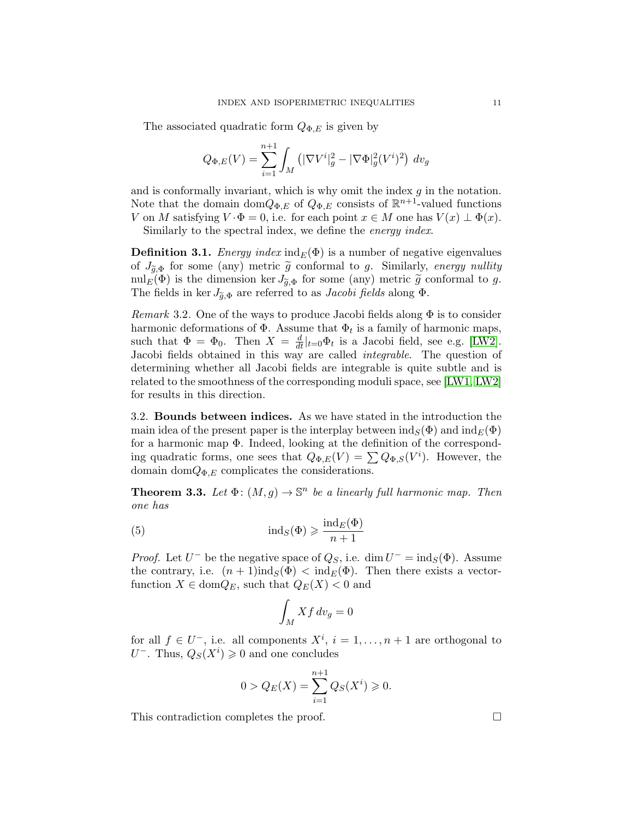The associated quadratic form  $Q_{\Phi,E}$  is given by

$$
Q_{\Phi,E}(V) = \sum_{i=1}^{n+1} \int_M (|\nabla V^i|_g^2 - |\nabla \Phi|_g^2 (V^i)^2) dv_g
$$

and is conformally invariant, which is why omit the index *g* in the notation. Note that the domain dom $Q_{\Phi,E}$  of  $Q_{\Phi,E}$  consists of  $\mathbb{R}^{n+1}$ -valued functions *V* on *M* satisfying  $V \cdot \Phi = 0$ , i.e. for each point  $x \in M$  one has  $V(x) \perp \Phi(x)$ .

Similarly to the spectral index, we define the *energy index*.

<span id="page-10-0"></span>**Definition 3.1.** *Energy index*  $ind_E(\Phi)$  is a number of negative eigenvalues of  $J_{\tilde{q},\Phi}$  for some (any) metric  $\tilde{g}$  conformal to *g*. Similarly, *energy nullity* nul<sub>E</sub>( $\Phi$ ) is the dimension ker  $J_{\tilde{q},\Phi}$  for some (any) metric  $\tilde{g}$  conformal to *g*. The fields in ker  $J_{\tilde{q},\Phi}$  are referred to as *Jacobi fields* along  $\Phi$ .

<span id="page-10-2"></span>*Remark* 3.2. One of the ways to produce Jacobi fields along  $\Phi$  is to consider harmonic deformations of  $\Phi$ . Assume that  $\Phi_t$  is a family of harmonic maps, such that  $\Phi = \Phi_0$ . Then  $X = \frac{d}{dt}|_{t=0} \Phi_t$  is a Jacobi field, see e.g. [\[LW2\]](#page-34-10). Jacobi fields obtained in this way are called *integrable*. The question of determining whether all Jacobi fields are integrable is quite subtle and is related to the smoothness of the corresponding moduli space, see [\[LW1,](#page-34-15) [LW2\]](#page-34-10) for results in this direction.

<span id="page-10-1"></span>3.2. Bounds between indices. As we have stated in the introduction the main idea of the present paper is the interplay between  $\text{ind}_{S}(\Phi)$  and  $\text{ind}_{E}(\Phi)$ for a harmonic map  $\Phi$ . Indeed, looking at the definition of the corresponding quadratic forms, one sees that  $Q_{\Phi,E}(V) = \sum Q_{\Phi,S}(V^i)$ . However, the domain dom $Q_{\Phi,E}$  complicates the considerations.

**Theorem 3.3.** Let  $\Phi$ :  $(M, g) \to \mathbb{S}^n$  be a linearly full harmonic map. Then *one has*

(5) 
$$
\operatorname{ind}_{S}(\Phi) \geq \frac{\operatorname{ind}_{E}(\Phi)}{n+1}
$$

*Proof.* Let  $U^-$  be the negative space of  $Q_S$ , i.e. dim  $U^- = \text{ind}_S(\Phi)$ . Assume the contrary, i.e.  $(n+1)$ ind<sub>*S*</sub>( $\Phi$ )  $\lt$  ind<sub>*E*</sub>( $\Phi$ ). Then there exists a vectorfunction  $X \in \text{dom}Q_E$ , such that  $Q_E(X) < 0$  and

$$
\int_M Xf\,dv_g=0
$$

for all  $f \in U^-$ , i.e. all components  $X^i$ ,  $i = 1, \ldots, n+1$  are orthogonal to  $U^-$ . Thus,  $Q_S(X^i) \geq 0$  and one concludes

$$
0 > Q_E(X) = \sum_{i=1}^{n+1} Q_S(X^i) \ge 0.
$$

This contradiction completes the proof.  $\Box$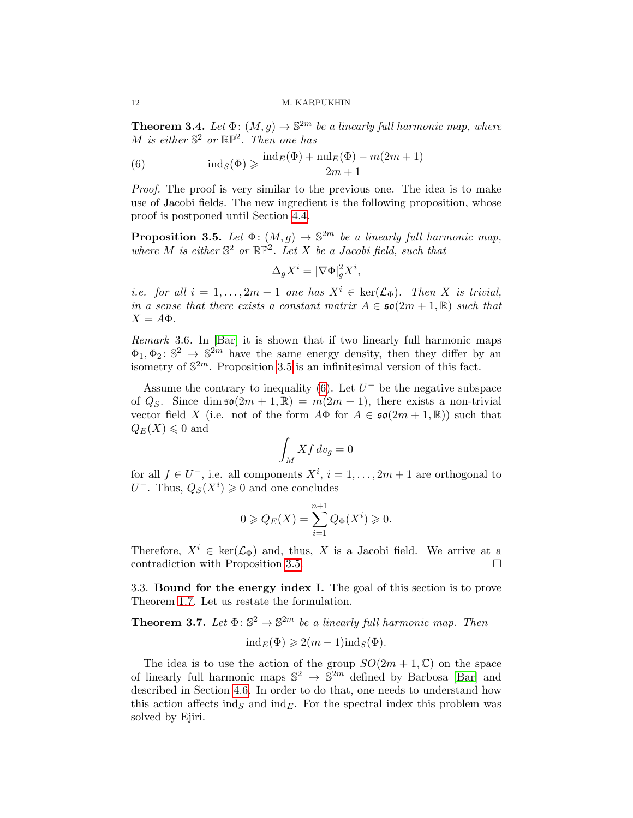<span id="page-11-0"></span>**Theorem 3.4.** Let  $\Phi$ :  $(M, g) \to \mathbb{S}^{2m}$  be a linearly full harmonic map, where *M is either*  $\mathbb{S}^2$  *or*  $\mathbb{RP}^2$ *. Then one has* 

<span id="page-11-3"></span>(6) 
$$
\operatorname{ind}_{S}(\Phi) \ge \frac{\operatorname{ind}_{E}(\Phi) + \operatorname{null}_{E}(\Phi) - m(2m + 1)}{2m + 1}
$$

*Proof.* The proof is very similar to the previous one. The idea is to make use of Jacobi fields. The new ingredient is the following proposition, whose proof is postponed until Section [4.4.](#page-21-0)

<span id="page-11-2"></span>**Proposition 3.5.** Let  $\Phi$ :  $(M, g) \to \mathbb{S}^{2m}$  be a linearly full harmonic map, *where*  $M$  *is either*  $\mathbb{S}^2$  *or*  $\mathbb{RP}^2$ *. Let*  $X$  *be a Jacobi field, such that* 

$$
\Delta_g X^i = |\nabla \Phi|_g^2 X^i,
$$

*i.e. for all*  $i = 1, \ldots, 2m + 1$  *one has*  $X^i \in \text{ker}(\mathcal{L}_{\Phi})$ *. Then X is trivial, in a sense that there exists a constant matrix*  $A \in \mathfrak{so}(2m+1,\mathbb{R})$  such that  $X = A\Phi$ .

*Remark* 3.6*.* In [\[Bar\]](#page-32-0) it is shown that if two linearly full harmonic maps  $\Phi_1, \Phi_2$ :  $\mathbb{S}^2 \to \mathbb{S}^{2m}$  have the same energy density, then they differ by an isometry of  $\mathbb{S}^{2m}$ . Proposition [3.5](#page-11-2) is an infinitesimal version of this fact.

Assume the contrary to inequality [\(6\)](#page-11-3). Let  $U^-$  be the negative subspace of  $Q_S$ . Since dim  $\mathfrak{so}(2m+1,\mathbb{R}) = m(2m+1)$ , there exists a non-trivial vector field *X* (i.e. not of the form  $A\Phi$  for  $A \in \mathfrak{so}(2m+1,\mathbb{R})$ ) such that  $Q_E(X) \leq 0$  and

$$
\int_M Xf\,dv_g=0
$$

for all  $f \in U^-$ , i.e. all components  $X^i$ ,  $i = 1, \ldots, 2m + 1$  are orthogonal to  $U^-$ . Thus,  $Q_S(X^i) \geq 0$  and one concludes

$$
0 \geqslant Q_E(X) = \sum_{i=1}^{n+1} Q_{\Phi}(X^i) \geqslant 0.
$$

Therefore,  $X^i \in \text{ker}(\mathcal{L}_{\Phi})$  and, thus, *X* is a Jacobi field. We arrive at a contradiction with Proposition 3.5. contradiction with Proposition [3.5.](#page-11-2)

<span id="page-11-1"></span>3.3. Bound for the energy index I. The goal of this section is to prove Theorem [1.7.](#page-3-2) Let us restate the formulation.

<span id="page-11-4"></span>**Theorem 3.7.** Let  $\Phi: \mathbb{S}^2 \to \mathbb{S}^{2m}$  be a linearly full harmonic map. Then

$$
ind_E(\Phi) \geqslant 2(m-1)ind_S(\Phi).
$$

The idea is to use the action of the group  $SO(2m + 1, \mathbb{C})$  on the space of linearly full harmonic maps  $\mathbb{S}^2 \to \mathbb{S}^{2m}$  defined by Barbosa [\[Bar\]](#page-32-0) and described in Section [4.6.](#page-31-0) In order to do that, one needs to understand how this action affects ind<sub>*S*</sub> and ind<sub>*E*</sub>. For the spectral index this problem was solved by Ejiri.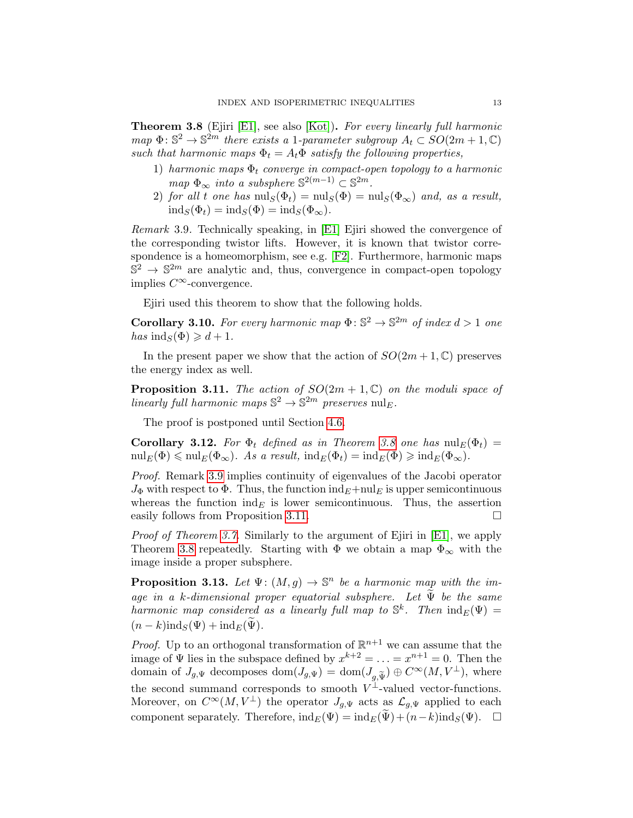<span id="page-12-0"></span>Theorem 3.8 (Ejiri [\[E1\]](#page-33-14), see also [\[Kot\]](#page-34-16)). *For every linearly full harmonic map*  $\Phi: \mathbb{S}^2 \to \mathbb{S}^{2m}$  *there exists a* 1*-parameter subgroup*  $A_t \subset SO(2m+1,\mathbb{C})$ *such that harmonic maps*  $\Phi_t = A_t \Phi$  *satisfy the following properties,* 

- 1) *harmonic maps*  $\Phi_t$  *converge in compact-open topology to a harmonic*  $map \Phi_{\infty}$  *into a subsphere*  $\mathbb{S}^{2(m-1)} \subset \mathbb{S}^{2m}$ *.*
- 2) *for all t one has*  $\text{null}_S(\Phi_t) = \text{null}_S(\Phi) = \text{null}_S(\Phi_\infty)$  *and, as a result,*  $\operatorname{ind}_S(\Phi_t) = \operatorname{ind}_S(\Phi) = \operatorname{ind}_S(\Phi_\infty).$

<span id="page-12-1"></span>*Remark* 3.9*.* Technically speaking, in [\[E1\]](#page-33-14) Ejiri showed the convergence of the corresponding twistor lifts. However, it is known that twistor correspondence is a homeomorphism, see e.g. [\[F2\]](#page-33-18). Furthermore, harmonic maps  $\mathbb{S}^2 \to \mathbb{S}^{2m}$  are analytic and, thus, convergence in compact-open topology implies  $C^{\infty}$ -convergence.

Ejiri used this theorem to show that the following holds.

<span id="page-12-3"></span>**Corollary 3.10.** For every harmonic map  $\Phi: \mathbb{S}^2 \to \mathbb{S}^{2m}$  of index  $d > 1$  one  $has \text{ ind}_S(\Phi) \geq d+1$ .

In the present paper we show that the action of  $SO(2m+1,\mathbb{C})$  preserves the energy index as well.

<span id="page-12-2"></span>**Proposition 3.11.** *The action of*  $SO(2m+1,\mathbb{C})$  *on the moduli space of linearly full harmonic maps*  $\mathbb{S}^2 \to \mathbb{S}^{2m}$  *preserves* nul*E.* 

The proof is postponed until Section [4.6.](#page-31-0)

**Corollary 3.12.** For  $\Phi_t$  defined as in Theorem [3.8](#page-12-0) one has  $\text{null}_E(\Phi_t) =$  $\text{null}_E(\Phi) \leq \text{null}_E(\Phi_\infty)$ . As a result,  $\text{ind}_E(\Phi_t) = \text{ind}_E(\Phi) \geq \text{ind}_E(\Phi_\infty)$ .

*Proof.* Remark [3.9](#page-12-1) implies continuity of eigenvalues of the Jacobi operator  $J_{\Phi}$  with respect to  $\Phi$ . Thus, the function  $\text{ind}_{E} + \text{null}_{E}$  is upper semicontinuous whereas the function  $\text{ind}_{E}$  is lower semicontinuous. Thus, the assertion easily follows from Proposition [3.11.](#page-12-2)  $\Box$ 

*Proof of Theorem [3.7.](#page-11-4)* Similarly to the argument of Ejiri in [\[E1\]](#page-33-14), we apply Theorem [3.8](#page-12-0) repeatedly. Starting with  $\Phi$  we obtain a map  $\Phi_{\infty}$  with the image inside a proper subsphere.

**Proposition 3.13.** Let  $\Psi$ :  $(M, g) \to \mathbb{S}^n$  be a harmonic map with the im*age in a k*-dimensional proper equatorial subsphere. Let  $\widetilde{\Psi}$  *be the same harmonic map considered as a linearly full map to*  $\mathbb{S}^k$ *. Then*  $\text{ind}_E(\Psi)$  =  $(n - k)$ ind<sub>*S*</sub>( $\Psi$ ) + ind<sub>*E*</sub>( $\widetilde{\Psi}$ ).

*Proof.* Up to an orthogonal transformation of  $\mathbb{R}^{n+1}$  we can assume that the image of  $\Psi$  lies in the subspace defined by  $x^{k+2} = \ldots = x^{n+1} = 0$ . Then the domain of  $J_{g,\Psi}$  decomposes  $dom(J_{g,\Psi}) = dom(J_{g,\widetilde{\Psi}}) \oplus C^{\infty}(M,V^{\perp})$ , where the second summand corresponds to smooth  $V^{\perp}$ -valued vector-functions. Moreover, on  $C^{\infty}(M, V^{\perp})$  the operator  $J_{q,\Psi}$  acts as  $\mathcal{L}_{q,\Psi}$  applied to each component separately. Therefore,  $\text{ind}_E(\Psi) = \text{ind}_E(\widetilde{\Psi}) + (n-k)\text{ind}_S(\Psi)$ .  $\Box$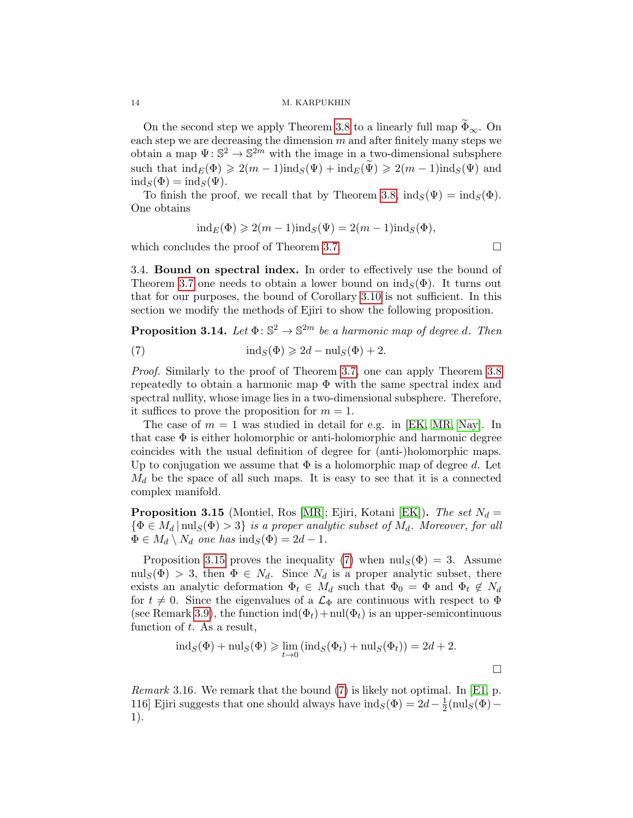On the second step we apply Theorem [3.8](#page-12-0) to a linearly full map  $\Phi_{\infty}$ . On each step we are decreasing the dimension *m* and after finitely many steps we obtain a map  $\Psi: \mathbb{S}^2 \to \mathbb{S}^{2m}$  with the image in a two-dimensional subsphere such that  $\text{ind}_E(\Phi) \geq 2(m-1)\text{ind}_S(\Psi) + \text{ind}_E(\widetilde{\Psi}) \geq 2(m-1)\text{ind}_S(\Psi)$  and  $\text{ind}_S(\Phi) = \text{ind}_S(\Psi).$ 

To finish the proof, we recall that by Theorem [3.8,](#page-12-0)  $\text{ind}_S(\Psi) = \text{ind}_S(\Phi)$ . One obtains

$$
ind_E(\Phi) \geqslant 2(m-1)ind_S(\Psi) = 2(m-1)ind_S(\Phi),
$$

which concludes the proof of Theorem [3.7.](#page-11-4)  $\Box$ 

3.4. **Bound on spectral index.** In order to effectively use the bound of Theorem [3.7](#page-11-4) one needs to obtain a lower bound on  $\text{ind}_{S}(\Phi)$ . It turns out that for our purposes, the bound of Corollary [3.10](#page-12-3) is not sufficient. In this section we modify the methods of Ejiri to show the following proposition.

<span id="page-13-2"></span>**Proposition 3.14.** Let  $\Phi$ :  $\mathbb{S}^2 \to \mathbb{S}^{2m}$  *be a harmonic map of degree d. Then* 

<span id="page-13-1"></span>(7) 
$$
\operatorname{ind}_S(\Phi) \geq 2d - \operatorname{nul}_S(\Phi) + 2.
$$

*Proof.* Similarly to the proof of Theorem [3.7,](#page-11-4) one can apply Theorem [3.8](#page-12-0) repeatedly to obtain a harmonic map  $\Phi$  with the same spectral index and spectral nullity, whose image lies in a two-dimensional subsphere. Therefore, it suffices to prove the proposition for  $m = 1$ .

The case of  $m = 1$  was studied in detail for e.g. in [\[EK,](#page-33-19) [MR,](#page-34-13) [Nay\]](#page-34-14). In that case  $\Phi$  is either holomorphic or anti-holomorphic and harmonic degree coincides with the usual definition of degree for (anti-)holomorphic maps. Up to conjugation we assume that  $\Phi$  is a holomorphic map of degree  $d$ . Let  $M_d$  be the space of all such maps. It is easy to see that it is a connected complex manifold.

<span id="page-13-0"></span>Proposition 3.15 (Montiel, Ros [\[MR\]](#page-34-13); Ejiri, Kotani [\[EK\]](#page-33-19)). *The set N<sup>d</sup>* =  $\{\Phi \in M_d | \text{nul}_S(\Phi) > 3\}$  *is a proper analytic subset of*  $M_d$ *. Moreover, for all*  $\Phi \in M_d \setminus N_d$  one has  $\text{ind}_S(\Phi) = 2d - 1$ .

Proposition [3.15](#page-13-0) proves the inequality [\(7\)](#page-13-1) when  $\text{null}_S(\Phi) = 3$ . Assume nul<sub>S</sub>( $\Phi$ ) > 3, then  $\Phi \in N_d$ . Since  $N_d$  is a proper analytic subset, there exists an analytic deformation  $\Phi_t \in M_d$  such that  $\Phi_0 = \Phi$  and  $\Phi_t \notin N_d$ for  $t \neq 0$ . Since the eigenvalues of a  $\mathcal{L}_{\Phi}$  are continuous with respect to  $\Phi$ (see Remark [3.9\)](#page-12-1), the function  $\text{ind}(\Phi_t)+\text{null}(\Phi_t)$  is an upper-semicontinuous function of *t*. As a result,

$$
ind_S(\Phi) + \text{nul}_S(\Phi) \ge \lim_{t \to 0} (\text{nul}_S(\Phi_t) + \text{nul}_S(\Phi_t)) = 2d + 2.
$$

*Remark* 3.16*.* We remark that the bound [\(7\)](#page-13-1) is likely not optimal. In [\[E1,](#page-33-14) p. 116] Ejiri suggests that one should always have  $\text{ind}_S(\Phi) = 2d - \frac{1}{2}(\text{null}_S(\Phi) -$ 1).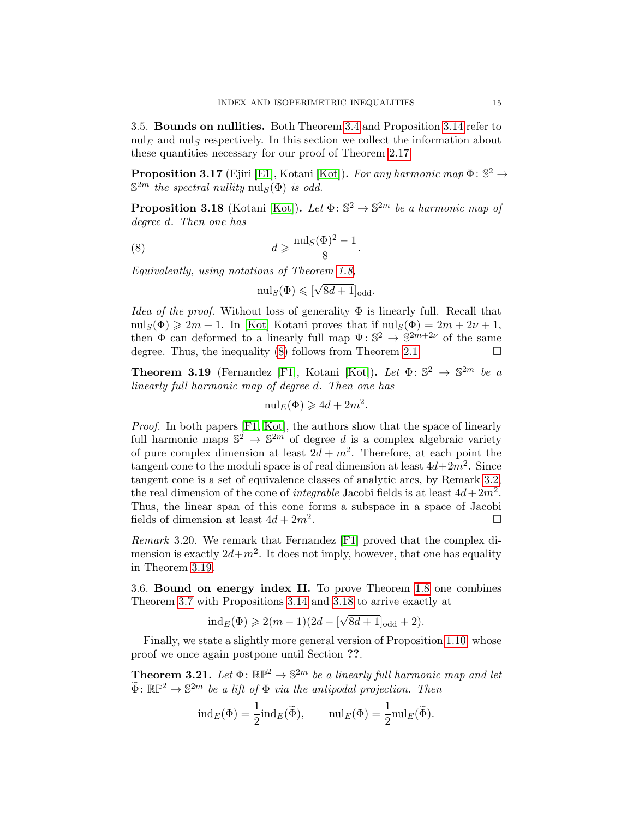3.5. Bounds on nullities. Both Theorem [3.4](#page-11-0) and Proposition [3.14](#page-13-2) refer to  $\text{null}_E$  and  $\text{null}_S$  respectively. In this section we collect the information about these quantities necessary for our proof of Theorem [2.17.](#page-8-1)

**Proposition 3.17** (Ejiri [\[E1\]](#page-33-14), Kotani [\[Kot\]](#page-34-16)). For any harmonic map  $\Phi$ :  $\mathbb{S}^2 \rightarrow$  $\mathbb{S}^{2m}$  *the spectral nullity* nul<sub>*S*</sub>( $\Phi$ ) *is odd.* 

<span id="page-14-3"></span>**Proposition 3.18** (Kotani [\[Kot\]](#page-34-16)). Let  $\Phi: \mathbb{S}^2 \to \mathbb{S}^{2m}$  be a harmonic map of *degree d. Then one has*

(8) 
$$
d \geqslant \frac{\mathrm{nul}_S(\Phi)^2 - 1}{8}.
$$

*Equivalently, using notations of Theorem [1.8,](#page-3-0)*

<span id="page-14-1"></span>
$$
\operatorname{null}_S(\Phi) \leqslant [\sqrt{8d+1}]_{\text{odd}}.
$$

*Idea of the proof.* Without loss of generality  $\Phi$  is linearly full. Recall that  $\text{null}_S(\Phi) \geq 2m + 1$ . In [\[Kot\]](#page-34-16) Kotani proves that if  $\text{null}_S(\Phi) = 2m + 2\nu + 1$ , then  $\Phi$  can deformed to a linearly full map  $\Psi: \mathbb{S}^2 \to \mathbb{S}^{2m+2\nu}$  of the same degree. Thus, the inequality  $(8)$  follows from Theorem [2.1.](#page-5-1)

<span id="page-14-2"></span>**Theorem 3.19** (Fernandez [\[F1\]](#page-33-20), Kotani [\[Kot\]](#page-34-16)). Let  $\Phi: \mathbb{S}^2 \to \mathbb{S}^{2m}$  be a *linearly full harmonic map of degree d. Then one has*

$$
\mathrm{nul}_E(\Phi) \geqslant 4d + 2m^2.
$$

*Proof.* In both papers [\[F1,](#page-33-20) [Kot\]](#page-34-16), the authors show that the space of linearly full harmonic maps  $\mathbb{S}^2 \to \mathbb{S}^{2m}$  of degree *d* is a complex algebraic variety of pure complex dimension at least  $2d + m^2$ . Therefore, at each point the tangent cone to the moduli space is of real dimension at least  $4d+2m^2$ . Since tangent cone is a set of equivalence classes of analytic arcs, by Remark [3.2,](#page-10-2) the real dimension of the cone of *integrable* Jacobi fields is at least  $4d + 2m^2$ . Thus, the linear span of this cone forms a subspace in a space of Jacobi fields of dimension at least  $4d + 2m^2$ .

*Remark* 3.20*.* We remark that Fernandez [\[F1\]](#page-33-20) proved that the complex dimension is exactly  $2d+m^2$ . It does not imply, however, that one has equality in Theorem [3.19.](#page-14-2)

<span id="page-14-0"></span>3.6. Bound on energy index II. To prove Theorem [1.8](#page-3-0) one combines Theorem [3.7](#page-11-4) with Propositions [3.14](#page-13-2) and [3.18](#page-14-3) to arrive exactly at

$$
\mathrm{ind}_E(\Phi) \geqslant 2(m-1)(2d-[\sqrt{8d+1}]_{\mathrm{odd}}+2).
$$

Finally, we state a slightly more general version of Proposition [1.10,](#page-4-0) whose proof we once again postpone until Section ??.

<span id="page-14-4"></span>**Theorem 3.21.** Let  $\Phi$ :  $\mathbb{RP}^2 \to \mathbb{S}^{2m}$  be a linearly full harmonic map and let  $\widetilde{\Phi}$ :  $\mathbb{R}\mathbb{P}^2 \to \mathbb{S}^{2m}$  *be a lift of*  $\Phi$  *via the antipodal projection. Then* 

$$
ind_E(\Phi) = \frac{1}{2} ind_E(\widetilde{\Phi}), \quad \text{null}_E(\Phi) = \frac{1}{2} \text{null}_E(\widetilde{\Phi}).
$$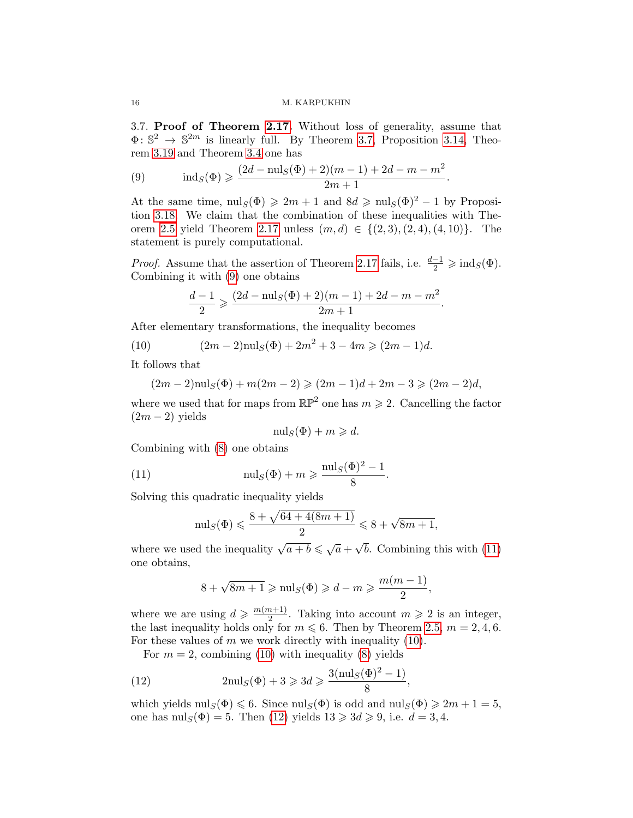<span id="page-15-0"></span>3.7. Proof of Theorem [2.17.](#page-8-1) Without loss of generality, assume that  $\Phi: \mathbb{S}^2 \to \mathbb{S}^{2m}$  is linearly full. By Theorem [3.7,](#page-11-4) Proposition [3.14,](#page-13-2) Theorem [3.19](#page-14-2) and Theorem [3.4](#page-11-0) one has

<span id="page-15-1"></span>(9) 
$$
\operatorname{ind}_{S}(\Phi) \geq \frac{(2d - \operatorname{nul}_{S}(\Phi) + 2)(m - 1) + 2d - m - m^{2}}{2m + 1}.
$$

At the same time,  $\text{null}_S(\Phi) \geq 2m + 1$  and  $8d \geq \text{null}_S(\Phi)^2 - 1$  by Proposition [3.18.](#page-14-3) We claim that the combination of these inequalities with The-orem [2.5](#page-6-2) yield Theorem [2.17](#page-8-1) unless  $(m, d) \in \{(2, 3), (2, 4), (4, 10)\}.$  The statement is purely computational.

*Proof.* Assume that the assertion of Theorem [2.17](#page-8-1) fails, i.e.  $\frac{d-1}{2} \geq \text{ind}_S(\Phi)$ . Combining it with [\(9\)](#page-15-1) one obtains

<span id="page-15-3"></span>
$$
\frac{d-1}{2} \geqslant \frac{(2d-\operatorname{nul}_S(\Phi)+2)(m-1)+2d-m-m^2}{2m+1}.
$$

After elementary transformations, the inequality becomes

(10) 
$$
(2m-2)\mathrm{nul}_S(\Phi) + 2m^2 + 3 - 4m \geqslant (2m-1)d.
$$

It follows that

$$
(2m-2)\mathrm{nul}_S(\Phi) + m(2m-2) \geq (2m-1)d + 2m - 3 \geq (2m-2)d,
$$

where we used that for maps from  $\mathbb{RP}^2$  one has  $m \geq 2$ . Cancelling the factor  $(2m - 2)$  yields

<span id="page-15-2"></span>
$$
\text{null}_S(\Phi) + m \geqslant d.
$$

Combining with [\(8\)](#page-14-1) one obtains

(11) 
$$
\text{null}_S(\Phi) + m \ge \frac{\text{null}_S(\Phi)^2 - 1}{8}.
$$

Solving this quadratic inequality yields

$$
\text{null}_S(\Phi) \leq \frac{8 + \sqrt{64 + 4(8m + 1)}}{2} \leq 8 + \sqrt{8m + 1},
$$

where we used the inequality  $\sqrt{a+b} \leq \sqrt{a} + \sqrt{b}$ . Combining this with [\(11\)](#page-15-2) one obtains,

$$
8 + \sqrt{8m + 1} \ge \text{null}_S(\Phi) \ge d - m \ge \frac{m(m - 1)}{2},
$$

where we are using  $d \geqslant \frac{m(m+1)}{2}$ . Taking into account  $m \geqslant 2$  is an integer, the last inequality holds only for  $m \leq 6$ . Then by Theorem [2.5,](#page-6-2)  $m = 2, 4, 6$ . For these values of *m* we work directly with inequality [\(10\)](#page-15-3).

<span id="page-15-4"></span>For  $m = 2$ , combining [\(10\)](#page-15-3) with inequality [\(8\)](#page-14-1) yields

(12) 
$$
2\mathrm{nul}_S(\Phi) + 3 \geqslant 3d \geqslant \frac{3(\mathrm{nul}_S(\Phi)^2 - 1)}{8},
$$

which yields  $\text{null}_S(\Phi) \leq 6$ . Since  $\text{null}_S(\Phi)$  is odd and  $\text{null}_S(\Phi) \geq 2m + 1 = 5$ , one has  $\text{null}_S(\Phi) = 5$ . Then [\(12\)](#page-15-4) yields  $13 \geq 3d \geq 9$ , i.e.  $d = 3, 4$ .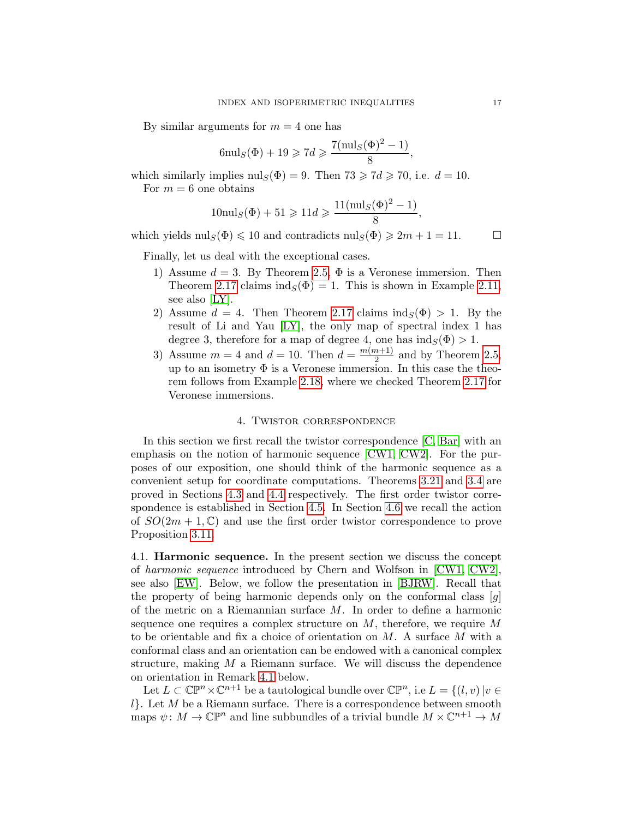By similar arguments for  $m = 4$  one has

$$
6\mathrm{nul}_S(\Phi) + 19 \geqslant 7d \geqslant \frac{7(\mathrm{nul}_S(\Phi)^2 - 1)}{8},
$$

which similarly implies  $\text{null}_S(\Phi) = 9$ . Then  $73 \geq 7d \geq 70$ , i.e.  $d = 10$ . For  $m = 6$  one obtains

$$
10 \text{nul}_S(\Phi) + 51 \ge 11d \ge \frac{11(\text{nul}_S(\Phi)^2 - 1)}{8},
$$

which yields  $\text{null}_S(\Phi) \leq 10$  and contradicts  $\text{null}_S(\Phi) \geq 2m + 1 = 11.$ 

Finally, let us deal with the exceptional cases.

- 1) Assume  $d = 3$ . By Theorem [2.5,](#page-6-2)  $\Phi$  is a Veronese immersion. Then Theorem [2.17](#page-8-1) claims  $ind_S(\Phi) = 1$ . This is shown in Example [2.11,](#page-7-0) see also [\[LY\]](#page-34-1).
- 2) Assume  $d = 4$ . Then Theorem [2.17](#page-8-1) claims  $\text{ind}_{S}(\Phi) > 1$ . By the result of Li and Yau [\[LY\]](#page-34-1), the only map of spectral index 1 has degree 3, therefore for a map of degree 4, one has  $\text{ind}_S(\Phi) > 1$ .
- 3) Assume  $m = 4$  and  $d = 10$ . Then  $d = \frac{m(m+1)}{2}$  and by Theorem [2.5,](#page-6-2) up to an isometry  $\Phi$  is a Veronese immersion. In this case the theorem follows from Example [2.18,](#page-9-1) where we checked Theorem [2.17](#page-8-1) for Veronese immersions.

# 4. Twistor correspondence

<span id="page-16-0"></span>In this section we first recall the twistor correspondence [\[C,](#page-33-12) [Bar\]](#page-32-0) with an emphasis on the notion of harmonic sequence [\[CW1,](#page-33-21) [CW2\]](#page-33-22). For the purposes of our exposition, one should think of the harmonic sequence as a convenient setup for coordinate computations. Theorems [3.21](#page-14-4) and [3.4](#page-11-0) are proved in Sections [4.3](#page-19-0) and [4.4](#page-21-0) respectively. The first order twistor correspondence is established in Section [4.5.](#page-28-0) In Section [4.6](#page-31-0) we recall the action of  $SO(2m + 1, \mathbb{C})$  and use the first order twistor correspondence to prove Proposition [3.11.](#page-12-2)

4.1. Harmonic sequence. In the present section we discuss the concept of *harmonic sequence* introduced by Chern and Wolfson in [\[CW1,](#page-33-21) [CW2\]](#page-33-22), see also [\[EW\]](#page-33-23). Below, we follow the presentation in [\[BJRW\]](#page-32-2). Recall that the property of being harmonic depends only on the conformal class [*g*] of the metric on a Riemannian surface *M*. In order to define a harmonic sequence one requires a complex structure on *M*, therefore, we require *M* to be orientable and fix a choice of orientation on *M*. A surface *M* with a conformal class and an orientation can be endowed with a canonical complex structure, making *M* a Riemann surface. We will discuss the dependence on orientation in Remark [4.1](#page-18-0) below.

Let  $L \subset \mathbb{CP}^n \times \mathbb{C}^{n+1}$  be a tautological bundle over  $\mathbb{CP}^n$ , i.e  $L = \{(l, v) | v \in$ *l}*. Let *M* be a Riemann surface. There is a correspondence between smooth maps  $\psi \colon M \to \mathbb{CP}^n$  and line subbundles of a trivial bundle  $M \times \mathbb{C}^{n+1} \to M$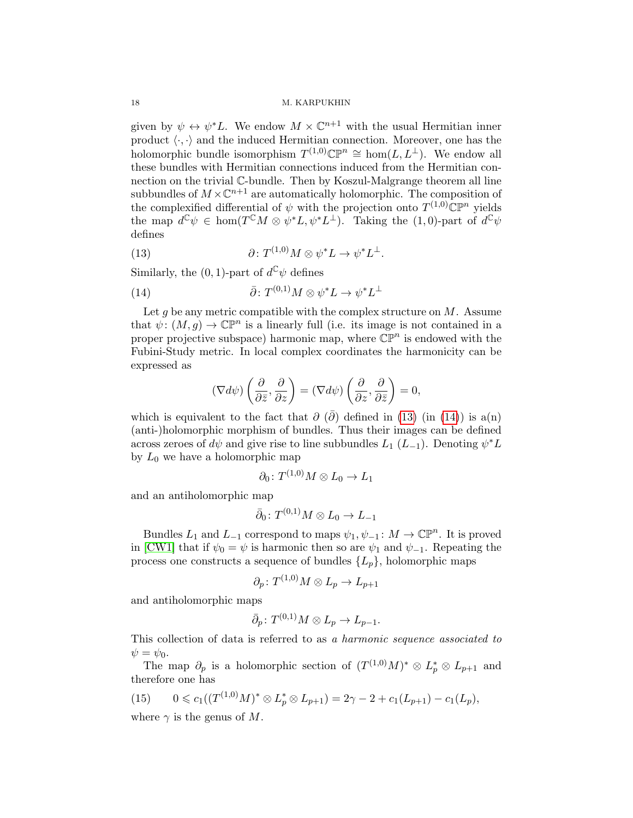given by  $\psi \leftrightarrow \psi^*L$ . We endow  $M \times \mathbb{C}^{n+1}$  with the usual Hermitian inner product  $\langle \cdot, \cdot \rangle$  and the induced Hermitian connection. Moreover, one has the holomorphic bundle isomorphism  $T^{(1,0)}\mathbb{CP}^n \cong \text{hom}(L, L^{\perp})$ . We endow all these bundles with Hermitian connections induced from the Hermitian connection on the trivial C-bundle. Then by Koszul-Malgrange theorem all line subbundles of  $M \times \mathbb{C}^{n+1}$  are automatically holomorphic. The composition of the complexified differential of  $\psi$  with the projection onto  $T^{(1,0)}\mathbb{C}\mathbb{P}^n$  yields the map  $d^{\mathbb{C}}\psi \in \text{hom}(T^{\mathbb{C}}M \otimes \psi^*L, \psi^*L^{\perp})$ . Taking the (1,0)-part of  $d^{\mathbb{C}}\psi$ defines

<span id="page-17-0"></span>(13) 
$$
\partial \colon T^{(1,0)}M \otimes \psi^*L \to \psi^*L^{\perp}.
$$

Similarly, the  $(0, 1)$ -part of  $d^{\mathbb{C}} \psi$  defines

(14) 
$$
\bar{\partial} \colon T^{(0,1)}M \otimes \psi^*L \to \psi^*L^{\perp}
$$

Let *g* be any metric compatible with the complex structure on *M*. Assume that  $\psi: (M,g) \to \mathbb{CP}^n$  is a linearly full (i.e. its image is not contained in a proper projective subspace) harmonic map, where  $\mathbb{CP}^n$  is endowed with the Fubini-Study metric. In local complex coordinates the harmonicity can be expressed as

<span id="page-17-1"></span>
$$
(\nabla d\psi)\left(\frac{\partial}{\partial \bar{z}},\frac{\partial}{\partial z}\right)=(\nabla d\psi)\left(\frac{\partial}{\partial z},\frac{\partial}{\partial \bar{z}}\right)=0,
$$

which is equivalent to the fact that  $\partial$  ( $\partial$ ) defined in [\(13\)](#page-17-0) (in [\(14\)](#page-17-1)) is a(n) (anti-)holomorphic morphism of bundles. Thus their images can be defined across zeroes of  $d\psi$  and give rise to line subbundles  $L_1$  ( $L_{-1}$ ). Denoting  $\psi^* L$ by  $L_0$  we have a holomorphic map

$$
\partial_0\colon T^{(1,0)}M\otimes L_0\to L_1
$$

and an antiholomorphic map

$$
\bar{\partial}_0\colon T^{(0,1)}M\otimes L_0\to L_{-1}
$$

Bundles  $L_1$  and  $L_{-1}$  correspond to maps  $\psi_1, \psi_{-1} : M \to \mathbb{CP}^n$ . It is proved in [\[CW1\]](#page-33-21) that if  $\psi_0 = \psi$  is harmonic then so are  $\psi_1$  and  $\psi_{-1}$ . Repeating the process one constructs a sequence of bundles  $\{L_p\}$ , holomorphic maps

$$
\partial_p\colon T^{(1,0)}M\otimes L_p\to L_{p+1}
$$

and antiholomorphic maps

$$
\bar{\partial}_p \colon T^{(0,1)}M \otimes L_p \to L_{p-1}.
$$

This collection of data is referred to as *a harmonic sequence associated to*  $\psi = \psi_0.$ 

The map  $\partial_p$  is a holomorphic section of  $(T^{(1,0)}M)^* \otimes L_p^* \otimes L_{p+1}$  and therefore one has

<span id="page-17-2"></span>(15) 
$$
0 \le c_1((T^{(1,0)}M)^* \otimes L_p^* \otimes L_{p+1}) = 2\gamma - 2 + c_1(L_{p+1}) - c_1(L_p),
$$
  
where  $\gamma$  is the genus of M.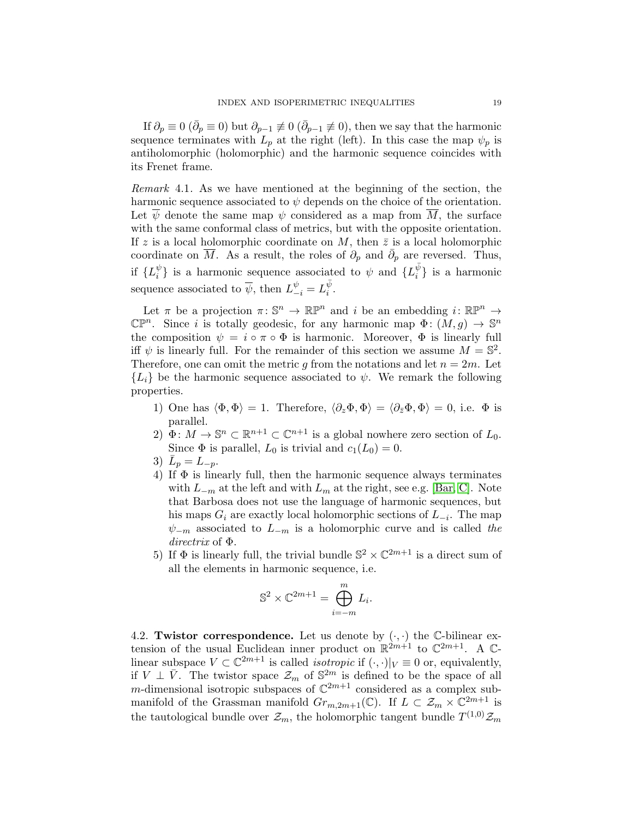If  $\partial_p \equiv 0$  ( $\bar{\partial}_p \equiv 0$ ) but  $\partial_{p-1} \not\equiv 0$  ( $\bar{\partial}_{p-1} \not\equiv 0$ ), then we say that the harmonic sequence terminates with  $L_p$  at the right (left). In this case the map  $\psi_p$  is antiholomorphic (holomorphic) and the harmonic sequence coincides with its Frenet frame.

<span id="page-18-0"></span>*Remark* 4.1*.* As we have mentioned at the beginning of the section, the harmonic sequence associated to  $\psi$  depends on the choice of the orientation. Let  $\psi$  denote the same map  $\psi$  considered as a map from *M*, the surface with the same conformal class of metrics, but with the opposite orientation. If  $z$  is a local holomorphic coordinate on  $M$ , then  $\bar{z}$  is a local holomorphic coordinate on  $\overline{M}$ . As a result, the roles of  $\partial_p$  and  $\overline{\partial}_p$  are reversed. Thus, if  ${L_i^{\psi}}$  is a harmonic sequence associated to  $\psi$  and  ${L_i^{\bar{\psi}}}$  is a harmonic sequence associated to  $\overline{\psi}$ , then  $L_{-i}^{\psi} = L_i^{\overline{\psi}}$ .

Let  $\pi$  be a projection  $\pi \colon \mathbb{S}^n \to \mathbb{RP}^n$  and *i* be an embedding  $i \colon \mathbb{RP}^n \to$  $\mathbb{CP}^n$ . Since *i* is totally geodesic, for any harmonic map  $\Phi: (M,g) \to \mathbb{S}^n$ the composition  $\psi = i \circ \pi \circ \Phi$  is harmonic. Moreover,  $\Phi$  is linearly full iff  $\psi$  is linearly full. For the remainder of this section we assume  $M = \mathbb{S}^2$ . Therefore, one can omit the metric *g* from the notations and let  $n = 2m$ . Let  ${L_i}$  be the harmonic sequence associated to  $\psi$ . We remark the following properties.

- 1) One has  $\langle \Phi, \Phi \rangle = 1$ . Therefore,  $\langle \partial_z \Phi, \Phi \rangle = \langle \partial_{\bar{z}} \Phi, \Phi \rangle = 0$ , i.e.  $\Phi$  is parallel.
- 2)  $\Phi: M \to \mathbb{S}^n \subset \mathbb{R}^{n+1} \subset \mathbb{C}^{n+1}$  is a global nowhere zero section of  $L_0$ . Since  $\Phi$  is parallel,  $L_0$  is trivial and  $c_1(L_0) = 0$ .
- 3)  $\bar{L}_p = L_{-p}$ .
- 4) If  $\Phi$  is linearly full, then the harmonic sequence always terminates with  $L_{-m}$  at the left and with  $L_m$  at the right, see e.g. [\[Bar,](#page-32-0) [C\]](#page-33-12). Note that Barbosa does not use the language of harmonic sequences, but his maps  $G_i$  are exactly local holomorphic sections of  $L_{-i}$ . The map  $\psi_{-m}$  associated to  $L_{-m}$  is a holomorphic curve and is called the  $$
- 5) If  $\Phi$  is linearly full, the trivial bundle  $\mathbb{S}^2 \times \mathbb{C}^{2m+1}$  is a direct sum of all the elements in harmonic sequence, i.e.

$$
\mathbb{S}^2 \times \mathbb{C}^{2m+1} = \bigoplus_{i=-m}^{m} L_i.
$$

4.2. Twistor correspondence. Let us denote by  $(\cdot, \cdot)$  the C-bilinear extension of the usual Euclidean inner product on  $\mathbb{R}^{2m+1}$  to  $\mathbb{C}^{2m+1}$ . A  $\mathbb{C}$ linear subspace  $V \subset \mathbb{C}^{2m+1}$  is called *isotropic* if  $(\cdot, \cdot)|_V \equiv 0$  or, equivalently, if  $V \perp \bar{V}$ . The twistor space  $\mathcal{Z}_m$  of  $\mathbb{S}^{2m}$  is defined to be the space of all *m*-dimensional isotropic subspaces of  $\mathbb{C}^{2m+1}$  considered as a complex submanifold of the Grassman manifold  $Gr_{m,2m+1}(\mathbb{C})$ . If  $L \subset \mathcal{Z}_m \times \mathbb{C}^{2m+1}$  is the tautological bundle over  $\mathcal{Z}_m$ , the holomorphic tangent bundle  $T^{(1,0)}\mathcal{Z}_m$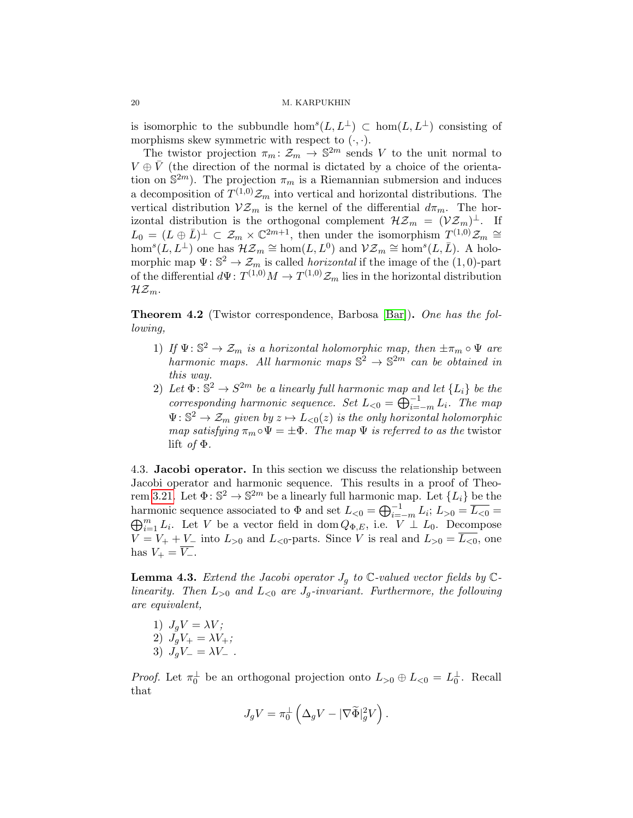is isomorphic to the subbundle  $hom<sup>s</sup>(L, L<sup>\perp</sup>) \subset \text{hom}(L, L<sup>\perp</sup>)$  consisting of morphisms skew symmetric with respect to  $(·, ·)$ .

The twistor projection  $\pi_m : \mathcal{Z}_m \to \mathbb{S}^{2m}$  sends *V* to the unit normal to  $V \oplus \overline{V}$  (the direction of the normal is dictated by a choice of the orientation on  $\mathbb{S}^{2m}$ ). The projection  $\pi_m$  is a Riemannian submersion and induces a decomposition of  $T^{(1,0)}\mathcal{Z}_m$  into vertical and horizontal distributions. The vertical distribution  $V\mathcal{Z}_m$  is the kernel of the differential  $d\pi_m$ . The horizontal distribution is the orthogonal complement  $H\mathcal{Z}_m = (\mathcal{V}\mathcal{Z}_m)^{\perp}$ . If  $L_0 = (L \oplus \overline{L})^{\perp} \subset \mathcal{Z}_m \times \mathbb{C}^{2m+1}$ , then under the isomorphism  $T^{(1,0)}\mathcal{Z}_m \cong$  $hom<sup>s</sup>(L, L<sup>\perp</sup>)$  one has  $\mathcal{H} \mathcal{Z}_m \cong hom(L, L<sup>0</sup>)$  and  $\mathcal{V} \mathcal{Z}_m \cong hom<sup>s</sup>(L, \overline{L})$ . A holomorphic map  $\Psi: \mathbb{S}^2 \to \mathcal{Z}_m$  is called *horizontal* if the image of the (1,0)-part of the differential  $d\Psi: T^{(1,0)}M \to T^{(1,0)}\mathcal{Z}_m$  lies in the horizontal distribution  $\mathcal{H} \mathcal{Z}_m$ .

Theorem 4.2 (Twistor correspondence, Barbosa [\[Bar\]](#page-32-0)). *One has the following,*

- 1) If  $\Psi: \mathbb{S}^2 \to \mathcal{Z}_m$  is a horizontal holomorphic map, then  $\pm \pi_m \circ \Psi$  are *harmonic maps. All harmonic maps*  $\mathbb{S}^2 \to \mathbb{S}^{2m}$  *can be obtained in this way.*
- 2) Let  $\Phi: \mathbb{S}^2 \to S^{2m}$  be a linearly full harmonic map and let  $\{L_i\}$  be the *corresponding harmonic sequence. Set*  $L_{\leq 0} = \bigoplus_{i=-m}^{-1} L_i$ . The map  $\Psi: \mathbb{S}^2 \to \mathcal{Z}_m$  given by  $z \mapsto L_{< 0}(z)$  is the only horizontal holomorphic *map satisfying*  $\pi_m \circ \Psi = \pm \Phi$ . The map  $\Psi$  is referred to as the twistor lift *of*  $\Phi$ .

<span id="page-19-0"></span>4.3. Jacobi operator. In this section we discuss the relationship between Jacobi operator and harmonic sequence. This results in a proof of Theo-rem [3.21.](#page-14-4) Let  $\Phi: \mathbb{S}^2 \to \mathbb{S}^{2m}$  be a linearly full harmonic map. Let  $\{L_i\}$  be the harmonic sequence associated to  $\Phi$  and set  $L_{\leq 0} = \bigoplus_{i=-m}^{-1} L_i$ ;  $L_{>0} = \overline{L_{\leq 0}} = \bigoplus_{i=-m}^{-m} L_i$ ;  $L_{>0} = \overline{L_{\leq 0}} = \bigoplus_{i=-m}^{-m} L_i$  $\bigoplus_{i=1}^{m} L_i$ . Let *V* be a vector field in dom  $Q_{\Phi,E}$ , i.e. *V*  $\perp$  *L*<sub>0</sub>. Decompose  $V = V_+ + V_-$  into  $L_{>0}$  and  $L_{<0}$ -parts. Since *V* is real and  $L_{>0} = \overline{L_{<0}}$ , one has  $V_+ = \overline{V_-}.$ 

<span id="page-19-1"></span>**Lemma 4.3.** *Extend the Jacobi operator*  $J_g$  *to*  $\mathbb{C}\text{-}valued$  *vector fields* by  $\mathbb{C}\text{-}$ *linearity.* Then  $L_{>0}$  and  $L_{<0}$  are  $J_q$ -invariant. Furthermore, the following *are equivalent,*

1)  $J_qV = \lambda V;$ 2)  $J_gV_+ = \lambda V_+$ ; 3)  $J_qV_- = \lambda V_-$ .

*Proof.* Let  $\pi_0^{\perp}$  be an orthogonal projection onto  $L_{>0} \oplus L_{<0} = L_0^{\perp}$ . Recall that

$$
J_gV=\pi_0^\perp\left(\Delta_gV-|\nabla\widetilde{\Phi}|_g^2V\right).
$$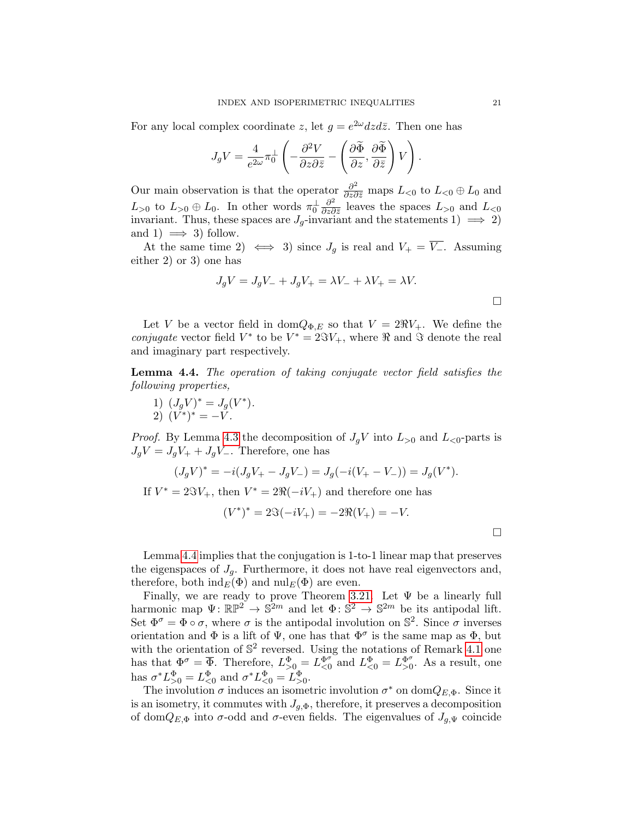For any local complex coordinate *z*, let  $q = e^{2\omega} dz d\bar{z}$ . Then one has

$$
J_g V = \frac{4}{e^{2\omega}} \pi_0^{\perp} \left( -\frac{\partial^2 V}{\partial z \partial \bar{z}} - \left( \frac{\partial \widetilde{\Phi}}{\partial z}, \frac{\partial \widetilde{\Phi}}{\partial \bar{z}} \right) V \right).
$$

Our main observation is that the operator  $\frac{\partial^2}{\partial z \partial \overline{z}}$  maps  $L_{\leq 0}$  to  $L_{\leq 0} \oplus L_0$  and  $L_{>0}$  to  $L_{>0} \oplus L_0$ . In other words  $\pi_0^{\perp} \frac{\partial^2}{\partial z \partial \overline{z}}$  leaves the spaces  $L_{>0}$  and  $L_{<0}$ invariant. Thus, these spaces are  $J_g$ -invariant and the statements 1)  $\implies$  2) and 1)  $\implies$  3) follow.

At the same time 2)  $\iff$  3) since *J<sub>g</sub>* is real and  $V_+ = \overline{V_-}$ . Assuming either 2) or 3) one has

$$
J_g V = J_g V_- + J_g V_+ = \lambda V_- + \lambda V_+ = \lambda V.
$$

Let *V* be a vector field in dom $Q_{\Phi,E}$  so that  $V = 2\Re V_+$ . We define the *conjugate* vector field  $V^*$  to be  $V^* = 2\Im V_+$ , where  $\Re$  and  $\Im$  denote the real and imaginary part respectively.

<span id="page-20-0"></span>Lemma 4.4. *The operation of taking conjugate vector field satisfies the following properties,*

1) 
$$
(J_g V)^* = J_g(V^*).
$$
  
2)  $(V^*)^* = -V.$ 

*Proof.* By Lemma [4.3](#page-19-1) the decomposition of  $J_qV$  into  $L_{>0}$  and  $L_{<0}$ -parts is  $J_qV = J_qV_+ + J_qV_-.$  Therefore, one has

$$
(J_g V)^* = -i(J_g V_+ - J_g V_-) = J_g(-i(V_+ - V_-)) = J_g(V^*).
$$

If  $V^* = 2\Im V_+$ , then  $V^* = 2\Re(-iV_+)$  and therefore one has

$$
(V^*)^* = 2\Im(-iV_+) = -2\Re(V_+) = -V.
$$

 $\Box$ 

Lemma [4.4](#page-20-0) implies that the conjugation is 1-to-1 linear map that preserves the eigenspaces of  $J_g$ . Furthermore, it does not have real eigenvectors and, therefore, both  $\text{ind}_E(\Phi)$  and  $\text{nil}_E(\Phi)$  are even.

Finally, we are ready to prove Theorem [3.21.](#page-14-4) Let  $\Psi$  be a linearly full harmonic map  $\Psi: \mathbb{RP}^2 \to \mathbb{S}^{2m}$  and let  $\Phi: \mathbb{S}^2 \to \mathbb{S}^{2m}$  be its antipodal lift. Set  $\Phi^{\sigma} = \Phi \circ \sigma$ , where  $\sigma$  is the antipodal involution on  $\mathbb{S}^2$ . Since  $\sigma$  inverses orientation and  $\Phi$  is a lift of  $\Psi$ , one has that  $\Phi^{\sigma}$  is the same map as  $\Phi$ , but with the orientation of  $\mathbb{S}^2$  reversed. Using the notations of Remark [4.1](#page-18-0) one has that  $\Phi^{\sigma} = \overline{\Phi}$ . Therefore,  $L_{>0}^{\Phi} = L_{<0}^{\Phi^{\sigma}}$  and  $L_{<0}^{\Phi} = L_{>0}^{\Phi^{\sigma}}$ . As a result, one has  $\sigma^* L_{>0}^{\Phi} = L_{<0}^{\Phi}$  and  $\sigma^* L_{<0}^{\Phi} = L_{>0}^{\Phi}$ .

The involution  $\sigma$  induces an isometric involution  $\sigma^*$  on dom $Q_{E,\Phi}$ . Since it is an isometry, it commutes with  $J_{q,\Phi}$ , therefore, it preserves a decomposition of dom $Q_{E,\Phi}$  into  $\sigma$ -odd and  $\sigma$ -even fields. The eigenvalues of  $J_{g,\Psi}$  coincide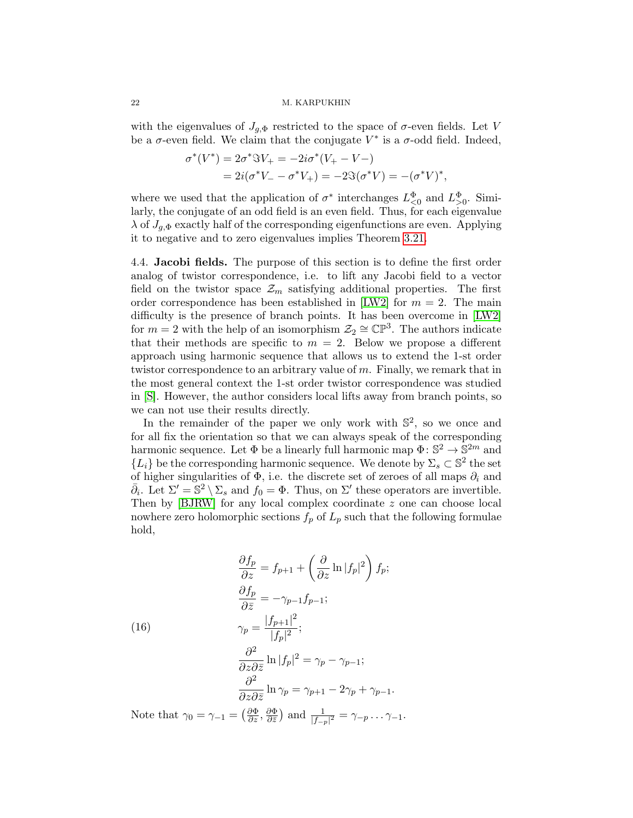with the eigenvalues of  $J_{q,\Phi}$  restricted to the space of  $\sigma$ -even fields. Let *V* be a  $\sigma$ -even field. We claim that the conjugate  $V^*$  is a  $\sigma$ -odd field. Indeed,

$$
\sigma^*(V^*) = 2\sigma^* \Im V_+ = -2i\sigma^*(V_+ - V_-) \n= 2i(\sigma^* V_- - \sigma^* V_+) = -2\Im(\sigma^* V) = -(\sigma^* V)^*,
$$

where we used that the application of  $\sigma^*$  interchanges  $L^{\Phi}_{\leq 0}$  and  $L^{\Phi}_{>0}$ . Similarly, the conjugate of an odd field is an even field. Thus, for each eigenvalue  $\lambda$  of  $J_{a,\Phi}$  exactly half of the corresponding eigenfunctions are even. Applying it to negative and to zero eigenvalues implies Theorem [3.21.](#page-14-4)

<span id="page-21-0"></span>4.4. Jacobi fields. The purpose of this section is to define the first order analog of twistor correspondence, i.e. to lift any Jacobi field to a vector field on the twistor space  $\mathcal{Z}_m$  satisfying additional properties. The first order correspondence has been established in  $\text{[LW2]}$  $\text{[LW2]}$  $\text{[LW2]}$  for  $m = 2$ . The main difficulty is the presence of branch points. It has been overcome in  $[{\rm LW2}]$ for  $m = 2$  with the help of an isomorphism  $\mathcal{Z}_2 \cong \mathbb{CP}^3$ . The authors indicate that their methods are specific to  $m = 2$ . Below we propose a different approach using harmonic sequence that allows us to extend the 1-st order twistor correspondence to an arbitrary value of *m*. Finally, we remark that in the most general context the 1-st order twistor correspondence was studied in [\[S\]](#page-34-17). However, the author considers local lifts away from branch points, so we can not use their results directly.

In the remainder of the paper we only work with  $\mathbb{S}^2$ , so we once and for all fix the orientation so that we can always speak of the corresponding harmonic sequence. Let  $\Phi$  be a linearly full harmonic map  $\Phi: \mathbb{S}^2 \to \mathbb{S}^{2m}$  and  ${L_i}$  be the corresponding harmonic sequence. We denote by  $\Sigma_s \subset \mathbb{S}^2$  the set of higher singularities of  $\Phi$ , i.e. the discrete set of zeroes of all maps  $\partial_i$  and  $\overline{\partial}_i$ . Let  $\Sigma' = \mathbb{S}^2 \setminus \Sigma_s$  and  $f_0 = \Phi$ . Thus, on  $\Sigma'$  these operators are invertible. Then by [\[BJRW\]](#page-32-2) for any local complex coordinate *z* one can choose local nowhere zero holomorphic sections  $f_p$  of  $L_p$  such that the following formulae hold,

<span id="page-21-1"></span>(16)  
\n
$$
\frac{\partial f_p}{\partial z} = f_{p+1} + \left(\frac{\partial}{\partial z} \ln |f_p|^2\right) f_p;
$$
\n
$$
\frac{\partial f_p}{\partial \bar{z}} = -\gamma_{p-1} f_{p-1};
$$
\n
$$
\gamma_p = \frac{|f_{p+1}|^2}{|f_p|^2};
$$
\n
$$
\frac{\partial^2}{\partial z \partial \bar{z}} \ln |f_p|^2 = \gamma_p - \gamma_{p-1};
$$
\n
$$
\frac{\partial^2}{\partial z \partial \bar{z}} \ln \gamma_p = \gamma_{p+1} - 2\gamma_p + \gamma_{p-1}.
$$

Note that  $\gamma_0 = \gamma_{-1} = \left(\frac{\partial \Phi}{\partial z}, \frac{\partial \Phi}{\partial \bar{z}}\right)$  and  $\frac{1}{|f_{-p}|^2} = \gamma_{-p} \dots \gamma_{-1}$ .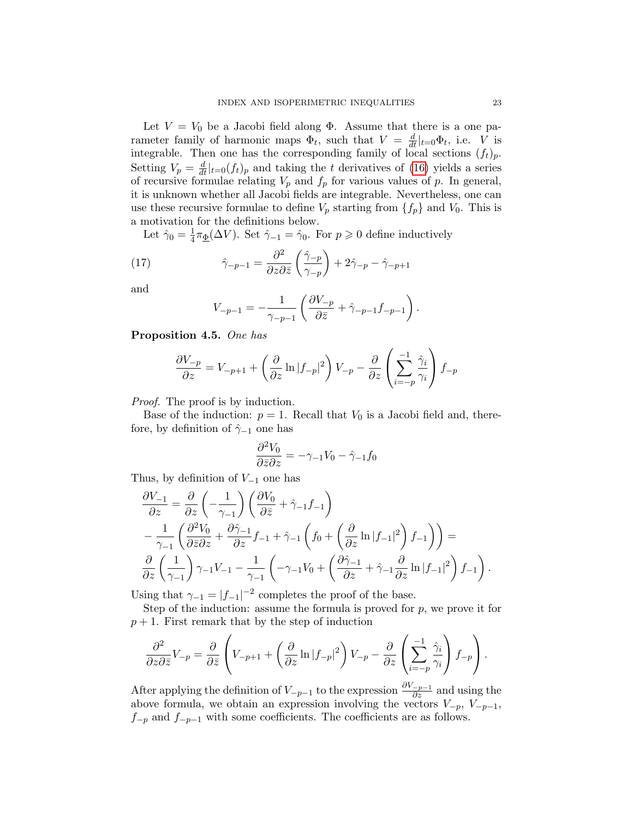Let  $V = V_0$  be a Jacobi field along  $\Phi$ . Assume that there is a one parameter family of harmonic maps  $\Phi_t$ , such that  $V = \frac{d}{dt}|_{t=0} \Phi_t$ , i.e. *V* is integrable. Then one has the corresponding family of local sections  $(f_t)_p$ . Setting  $V_p = \frac{d}{dt}|_{t=0}(f_t)_p$  and taking the *t* derivatives of [\(16\)](#page-21-1) yields a series of recursive formulae relating  $V_p$  and  $f_p$  for various values of  $p$ . In general, it is unknown whether all Jacobi fields are integrable. Nevertheless, one can use these recursive formulae to define  $V_p$  starting from  $\{f_p\}$  and  $V_0$ . This is a motivation for the definitions below.

Let  $\hat{\gamma}_0 = \frac{1}{4}\pi_{\underline{\Phi}}(\Delta V)$ . Set  $\hat{\gamma}_{-1} = \hat{\gamma}_0$ . For  $p \geq 0$  define inductively

(17) 
$$
\hat{\gamma}_{-p-1} = \frac{\partial^2}{\partial z \partial \bar{z}} \left( \frac{\hat{\gamma}_{-p}}{\gamma_{-p}} \right) + 2\hat{\gamma}_{-p} - \hat{\gamma}_{-p+1}
$$

and

<span id="page-22-0"></span>
$$
V_{-p-1} = -\frac{1}{\gamma_{-p-1}} \left( \frac{\partial V_{-p}}{\partial \bar{z}} + \hat{\gamma}_{-p-1} f_{-p-1} \right).
$$

<span id="page-22-1"></span>Proposition 4.5. *One has*

$$
\frac{\partial V_{-p}}{\partial z} = V_{-p+1} + \left(\frac{\partial}{\partial z} \ln |f_{-p}|^2\right) V_{-p} - \frac{\partial}{\partial z} \left(\sum_{i=-p}^{-1} \frac{\hat{\gamma}_i}{\gamma_i}\right) f_{-p}
$$

*Proof.* The proof is by induction.

Base of the induction:  $p = 1$ . Recall that  $V_0$  is a Jacobi field and, therefore, by definition of  $\hat{\gamma}_{-1}$  one has

$$
\frac{\partial^2 V_0}{\partial \bar{z} \partial z} = -\gamma_{-1} V_0 - \hat{\gamma}_{-1} f_0
$$

Thus, by definition of  $V_{-1}$  one has

$$
\begin{split} &\frac{\partial V_{-1}}{\partial z} = \frac{\partial}{\partial z} \left( -\frac{1}{\gamma_{-1}} \right) \left( \frac{\partial V_0}{\partial \bar{z}} + \hat{\gamma}_{-1} f_{-1} \right) \\ &- \frac{1}{\gamma_{-1}} \left( \frac{\partial^2 V_0}{\partial \bar{z}} \partial z + \frac{\partial \hat{\gamma}_{-1}}{\partial z} f_{-1} + \hat{\gamma}_{-1} \left( f_0 + \left( \frac{\partial}{\partial z} \ln |f_{-1}|^2 \right) f_{-1} \right) \right) = \\ &\frac{\partial}{\partial z} \left( \frac{1}{\gamma_{-1}} \right) \gamma_{-1} V_{-1} - \frac{1}{\gamma_{-1}} \left( -\gamma_{-1} V_0 + \left( \frac{\partial \hat{\gamma}_{-1}}{\partial z} + \hat{\gamma}_{-1} \frac{\partial}{\partial z} \ln |f_{-1}|^2 \right) f_{-1} \right). \end{split}
$$

Using that  $\gamma_{-1} = |f_{-1}|^{-2}$  completes the proof of the base.

Step of the induction: assume the formula is proved for *p*, we prove it for  $p + 1$ . First remark that by the step of induction

$$
\frac{\partial^2}{\partial z \partial \bar{z}} V_{-p} = \frac{\partial}{\partial \bar{z}} \left( V_{-p+1} + \left( \frac{\partial}{\partial z} \ln |f_{-p}|^2 \right) V_{-p} - \frac{\partial}{\partial z} \left( \sum_{i=-p}^{-1} \frac{\hat{\gamma}_i}{\gamma_i} \right) f_{-p} \right).
$$

After applying the definition of  $V_{-p-1}$  to the expression  $\frac{\partial V_{-p-1}}{\partial z}$  and using the above formula, we obtain an expression involving the vectors  $V_{-p}$ ,  $V_{-p-1}$ ,  $f_{-p}$  and  $f_{-p-1}$  with some coefficients. The coefficients are as follows.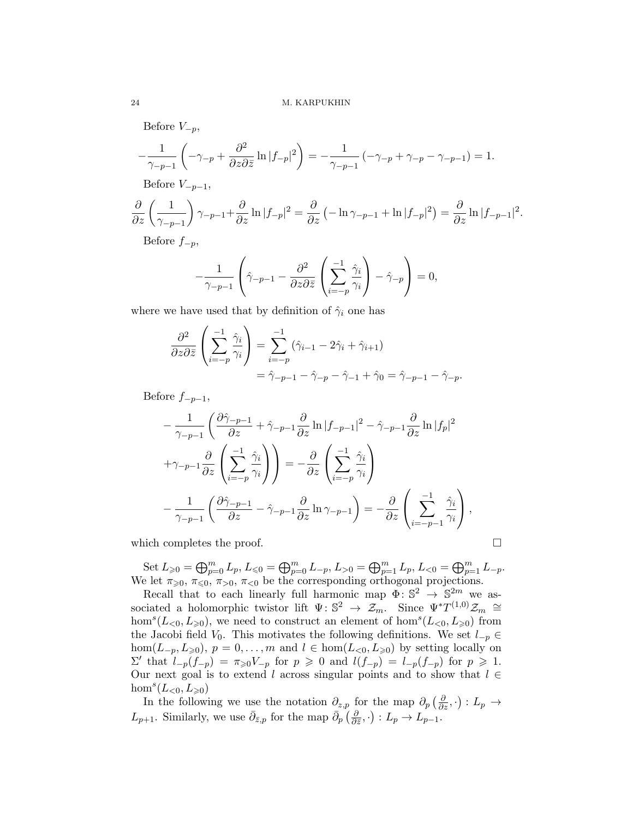Before  $V_{-p}$ ,

$$
-\frac{1}{\gamma_{-p-1}}\left(-\gamma_{-p}+\frac{\partial^2}{\partial z\partial \bar{z}}\ln|f_{-p}|^2\right)=-\frac{1}{\gamma_{-p-1}}\left(-\gamma_{-p}+\gamma_{-p}-\gamma_{-p-1}\right)=1.
$$

Before  $V_{-p-1}$ ,

$$
\frac{\partial}{\partial z} \left( \frac{1}{\gamma_{-p-1}} \right) \gamma_{-p-1} + \frac{\partial}{\partial z} \ln |f_{-p}|^2 = \frac{\partial}{\partial z} \left( -\ln \gamma_{-p-1} + \ln |f_{-p}|^2 \right) = \frac{\partial}{\partial z} \ln |f_{-p-1}|^2.
$$

Before  $f_{-p}$ ,

$$
-\frac{1}{\gamma_{-p-1}}\left(\hat{\gamma}_{-p-1}-\frac{\partial^2}{\partial z\partial \bar{z}}\left(\sum_{i=-p}^{-1}\frac{\hat{\gamma}_i}{\gamma_i}\right)-\hat{\gamma}_{-p}\right)=0,
$$

where we have used that by definition of  $\hat{\gamma}_i$  one has

$$
\frac{\partial^2}{\partial z \partial \overline{z}} \left( \sum_{i=-p}^{-1} \frac{\hat{\gamma}_i}{\gamma_i} \right) = \sum_{i=-p}^{-1} (\hat{\gamma}_{i-1} - 2\hat{\gamma}_i + \hat{\gamma}_{i+1})
$$
  
=  $\hat{\gamma}_{-p-1} - \hat{\gamma}_{-p} - \hat{\gamma}_{-1} + \hat{\gamma}_0 = \hat{\gamma}_{-p-1} - \hat{\gamma}_{-p}.$ 

Before  $f_{-p-1}$ ,

$$
-\frac{1}{\gamma_{-p-1}} \left( \frac{\partial \hat{\gamma}_{-p-1}}{\partial z} + \hat{\gamma}_{-p-1} \frac{\partial}{\partial z} \ln |f_{-p-1}|^2 - \hat{\gamma}_{-p-1} \frac{\partial}{\partial z} \ln |f_p|^2 + \gamma_{-p-1} \frac{\partial}{\partial z} \left( \sum_{i=-p}^{-1} \frac{\hat{\gamma}_i}{\gamma_i} \right) \right) = -\frac{\partial}{\partial z} \left( \sum_{i=-p}^{-1} \frac{\hat{\gamma}_i}{\gamma_i} \right) -\frac{1}{\gamma_{-p-1}} \left( \frac{\partial \hat{\gamma}_{-p-1}}{\partial z} - \hat{\gamma}_{-p-1} \frac{\partial}{\partial z} \ln \gamma_{-p-1} \right) = -\frac{\partial}{\partial z} \left( \sum_{i=-p-1}^{-1} \frac{\hat{\gamma}_i}{\gamma_i} \right),
$$

which completes the proof.  $\Box$ 

Set  $L_{\geq 0} = \bigoplus_{p=0}^{m} L_p$ ,  $L_{\leq 0} = \bigoplus_{p=0}^{m} L_{-p}$ ,  $L_{>0} = \bigoplus_{p=1}^{m} L_p$ ,  $L_{<0} = \bigoplus_{p=1}^{m} L_{-p}$ . We let  $\pi_{\geqslant 0}, \pi_{\leqslant 0}, \pi_{\leqslant 0}$  be the corresponding orthogonal projections.

Recall that to each linearly full harmonic map  $\Phi: \mathbb{S}^2 \to \mathbb{S}^{2m}$  we associated a holomorphic twistor lift  $\Psi: \mathbb{S}^2 \to \mathbb{Z}_m$ . Since  $\Psi^*T^{(1,0)}\mathbb{Z}_m \cong$  $hom<sup>s</sup>(L<sub>0</sub>, L<sub>\geqslant0</sub>)$ , we need to construct an element of  $hom<sup>s</sup>(L<sub>0</sub>, L<sub>\geqslant0</sub>)$  from the Jacobi field  $V_0$ . This motivates the following definitions. We set  $l_{p} \in$  $hom(L_{-p}, L_{\geqslant 0}), p = 0, \ldots, m$  and  $l \in hom(L_{<0}, L_{\geqslant 0})$  by setting locally on  $\Sigma'$  that  $l_{-p}(f_{-p}) = \pi_{\geq 0} V_{-p}$  for  $p \geq 0$  and  $l(f_{-p}) = l_{-p}(f_{-p})$  for  $p \geq 1$ . Our next goal is to extend *l* across singular points and to show that  $l \in$  $hom<sup>s</sup>(L<sub>0</sub>, L<sub>\geqslant 0</sub>)$ 

In the following we use the notation  $\partial_{z,p}$  for the map  $\partial_p\left(\frac{\partial}{\partial z},\cdot\right): L_p \to$  $L_{p+1}$ . Similarly, we use  $\bar{\partial}_{\bar{z},p}$  for the map  $\bar{\partial}_p \left( \frac{\partial}{\partial \bar{z}}, \cdot \right) : L_p \to L_{p-1}$ .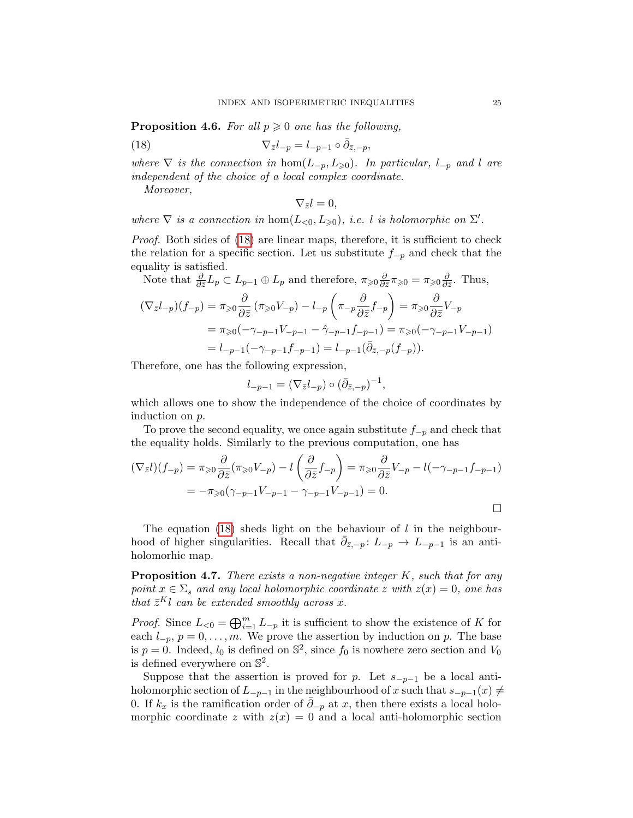**Proposition 4.6.** *For all*  $p \geq 0$  *one has the following,* 

(18) 
$$
\nabla_{\bar{z}}l_{-p} = l_{-p-1} \circ \bar{\partial}_{\bar{z},-p},
$$

*where*  $\nabla$  *is the connection in* hom $(L_{-p}, L_{\geq 0})$ *. In particular,*  $l_{-p}$  *and l are independent of the choice of a local complex coordinate.*

*Moreover,*

<span id="page-24-0"></span> $\nabla_{\bar{z}}l = 0$ *,* 

*where*  $\nabla$  *is a connection in*  $hom(L_{<0}, L_{\geqslant0}),$  *i.e. l is holomorphic on*  $\Sigma'$ *.* 

*Proof.* Both sides of  $(18)$  are linear maps, therefore, it is sufficient to check the relation for a specific section. Let us substitute  $f_{p}$  and check that the equality is satisfied.

Note that 
$$
\frac{\partial}{\partial \bar{z}} L_p \subset L_{p-1} \oplus L_p
$$
 and therefore,  $\pi_{\geq 0} \frac{\partial}{\partial \bar{z}} \pi_{\geq 0} = \pi_{\geq 0} \frac{\partial}{\partial \bar{z}}$ . Thus,  
\n
$$
(\nabla_{\bar{z}} l_{-p})(f_{-p}) = \pi_{\geq 0} \frac{\partial}{\partial \bar{z}} (\pi_{\geq 0} V_{-p}) - l_{-p} \left( \pi_{-p} \frac{\partial}{\partial \bar{z}} f_{-p} \right) = \pi_{\geq 0} \frac{\partial}{\partial \bar{z}} V_{-p}
$$
\n
$$
= \pi_{\geq 0} (-\gamma_{-p-1} V_{-p-1} - \hat{\gamma}_{-p-1} f_{-p-1}) = \pi_{\geq 0} (-\gamma_{-p-1} V_{-p-1})
$$
\n
$$
= l_{-p-1} (-\gamma_{-p-1} f_{-p-1}) = l_{-p-1} (\bar{\partial}_{\bar{z},-p} (f_{-p})).
$$

Therefore, one has the following expression,

$$
l_{-p-1} = (\nabla_{\bar{z}} l_{-p}) \circ (\bar{\partial}_{\bar{z}, -p})^{-1},
$$

which allows one to show the independence of the choice of coordinates by induction on *p*.

To prove the second equality, we once again substitute  $f_{p}$  and check that the equality holds. Similarly to the previous computation, one has

$$
(\nabla_{\bar{z}}l)(f_{-p}) = \pi_{\geqslant 0} \frac{\partial}{\partial \bar{z}} (\pi_{\geqslant 0} V_{-p}) - l \left( \frac{\partial}{\partial \bar{z}} f_{-p} \right) = \pi_{\geqslant 0} \frac{\partial}{\partial \bar{z}} V_{-p} - l(-\gamma_{-p-1}f_{-p-1})
$$
  
=  $-\pi_{\geqslant 0} (\gamma_{-p-1} V_{-p-1} - \gamma_{-p-1} V_{-p-1}) = 0.$ 

The equation [\(18\)](#page-24-0) sheds light on the behaviour of *l* in the neighbourhood of higher singularities. Recall that  $\bar{\partial}_{\bar{z},-p}$ :  $L_{-p} \to L_{-p-1}$  is an antiholomorhic map.

Proposition 4.7. *There exists a non-negative integer K, such that for any point*  $x \in \Sigma_s$  *and any local holomorphic coordinate z with*  $z(x) = 0$ *, one has that*  $\bar{z}^K l$  *can be extended smoothly across x.* 

*Proof.* Since  $L_{\leq 0} = \bigoplus_{i=1}^{m} L_{-p}$  it is sufficient to show the existence of *K* for each  $l_{-p}$ ,  $p = 0, \ldots, m$ . We prove the assertion by induction on p. The base is  $p = 0$ . Indeed,  $l_0$  is defined on  $\mathbb{S}^2$ , since  $f_0$  is nowhere zero section and  $V_0$ is defined everywhere on  $\mathbb{S}^2$ .

Suppose that the assertion is proved for *p*. Let  $s_{-p-1}$  be a local antiholomorphic section of  $L_{-p-1}$  in the neighbourhood of *x* such that  $s_{-p-1}(x) \neq$ 0. If  $k_x$  is the ramification order of  $\bar{\partial}_{-p}$  at *x*, then there exists a local holomorphic coordinate *z* with  $z(x) = 0$  and a local anti-holomorphic section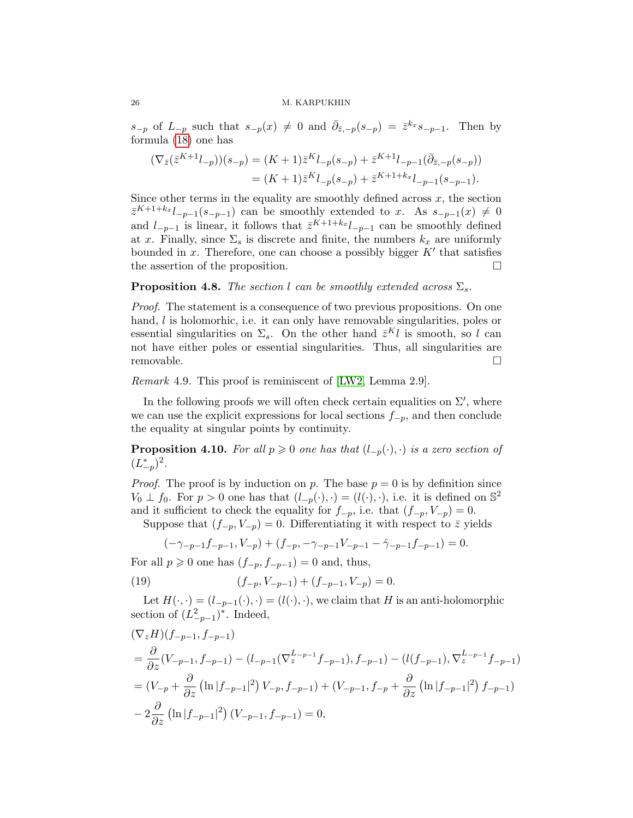$s_{-p}$  of  $L_{-p}$  such that  $s_{-p}(x) \neq 0$  and  $\overline{\partial}_{\overline{z},-p}(s_{-p}) = \overline{z}^{k_x}s_{-p-1}$ . Then by formula [\(18\)](#page-24-0) one has

$$
\begin{aligned} (\nabla_{\bar{z}}(\bar{z}^{K+1}l_{-p}))(s_{-p}) &= (K+1)\bar{z}^Kl_{-p}(s_{-p}) + \bar{z}^{K+1}l_{-p-1}(\bar{\partial}_{\bar{z},-p}(s_{-p})) \\ &= (K+1)\bar{z}^Kl_{-p}(s_{-p}) + \bar{z}^{K+1+k_x}l_{-p-1}(s_{-p-1}). \end{aligned}
$$

Since other terms in the equality are smoothly defined across  $x$ , the section  $\overline{z}^{K+1+k_x}l_{p-1}(s_{p-1})$  can be smoothly extended to *x*. As  $s_{p-1}(x) \neq 0$ and  $l_{-p-1}$  is linear, it follows that  $\bar{z}^{K+1+k_x}l_{-p-1}$  can be smoothly defined at *x*. Finally, since  $\Sigma_s$  is discrete and finite, the numbers  $k_x$  are uniformly bounded in  $x$ . Therefore, one can choose a possibly bigger  $K'$  that satisfies the assertion of the proposition.  $\Box$ 

### **Proposition 4.8.** *The section l can be smoothly extended across*  $\Sigma_s$ *.*

*Proof.* The statement is a consequence of two previous propositions. On one hand, *l* is holomorhic, i.e. it can only have removable singularities, poles or essential singularities on  $\Sigma_s$ . On the other hand  $\bar{z}^K l$  is smooth, so *l* can not have either poles or essential singularities. Thus, all singularities are removable.  $\Box$ 

*Remark* 4.9*.* This proof is reminiscent of [\[LW2,](#page-34-10) Lemma 2.9].

In the following proofs we will often check certain equalities on  $\Sigma'$ , where we can use the explicit expressions for local sections  $f_{-p}$ , and then conclude the equality at singular points by continuity.

<span id="page-25-1"></span>**Proposition 4.10.** For all  $p \ge 0$  one has that  $(l_{-p}(\cdot), \cdot)$  is a zero section of  $(L_{-p}^*)^2$ .

*Proof.* The proof is by induction on *p*. The base  $p = 0$  is by definition since  $V_0 \perp f_0$ . For  $p > 0$  one has that  $(l_{-p}(\cdot), \cdot) = (l(\cdot), \cdot)$ , i.e. it is defined on  $\mathbb{S}^2$ and it sufficient to check the equality for  $f_{-p}$ , i.e. that  $(f_{-p}, V_{-p})=0$ .

Suppose that  $(f_{-p}, V_{-p}) = 0$ . Differentiating it with respect to  $\bar{z}$  yields

<span id="page-25-0"></span>
$$
(-\gamma_{-p-1}f_{-p-1}, V_{-p}) + (f_{-p}, -\gamma_{-p-1}V_{-p-1} - \hat{\gamma}_{-p-1}f_{-p-1}) = 0.
$$

For all  $p \ge 0$  one has  $(f_{-p}, f_{-p-1}) = 0$  and, thus,

(19) 
$$
(f_{-p}, V_{-p-1}) + (f_{-p-1}, V_{-p}) = 0.
$$

Let  $H(\cdot, \cdot) = (l_{-p-1}(\cdot), \cdot) = (l(\cdot), \cdot)$ , we claim that *H* is an anti-holomorphic section of  $(L_{-p-1}^2)^*$ . Indeed,

$$
\begin{split}\n& (\nabla_z H)(f_{-p-1}, f_{-p-1}) \\
&= \frac{\partial}{\partial z}(V_{-p-1}, f_{-p-1}) - (l_{-p-1}(\nabla_z^{L-p-1}f_{-p-1}), f_{-p-1}) - (l(f_{-p-1}), \nabla_z^{L-p-1}f_{-p-1}) \\
&= (V_{-p} + \frac{\partial}{\partial z} \left( \ln|f_{-p-1}|^2 \right) V_{-p}, f_{-p-1}) + (V_{-p-1}, f_{-p} + \frac{\partial}{\partial z} \left( \ln|f_{-p-1}|^2 \right) f_{-p-1}) \\
&- 2\frac{\partial}{\partial z} \left( \ln|f_{-p-1}|^2 \right) (V_{-p-1}, f_{-p-1}) = 0,\n\end{split}
$$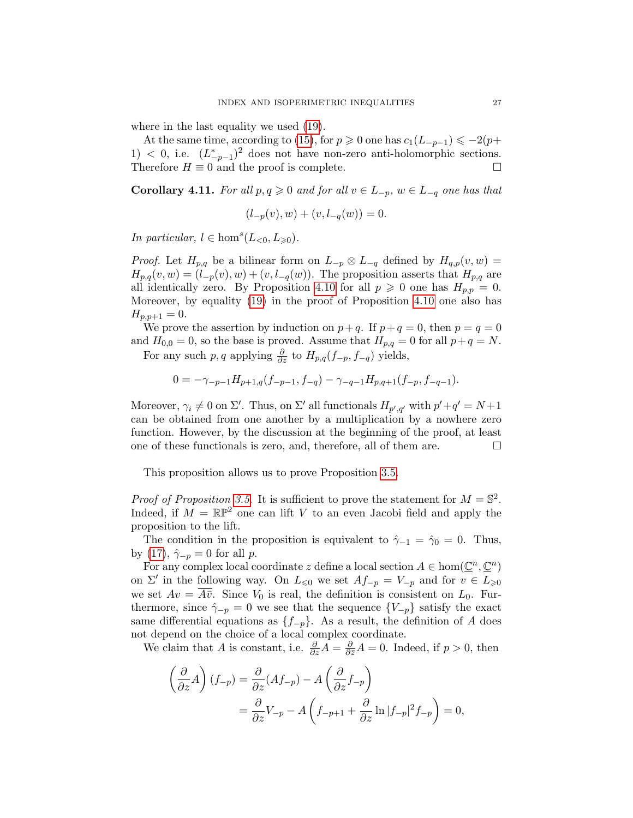where in the last equality we used [\(19\)](#page-25-0).

At the same time, according to [\(15\)](#page-17-2), for  $p \ge 0$  one has  $c_1(L_{-p-1}) \le -2(p+1)$ 1)  $\lt$  0, i.e.  $(L_{p-1}^*)^2$  does not have non-zero anti-holomorphic sections. Therefore  $H \equiv 0$  and the proof is complete.

<span id="page-26-0"></span>**Corollary 4.11.** For all  $p, q \ge 0$  and for all  $v \in L_{-p}$ ,  $w \in L_{-q}$  one has that

$$
(l_{-p}(v), w) + (v, l_{-q}(w)) = 0.
$$

*In particular,*  $l \in \text{hom}^s(L_{<0}, L_{\geq 0})$ *.* 

*Proof.* Let  $H_{p,q}$  be a bilinear form on  $L_{-p} \otimes L_{-q}$  defined by  $H_{q,p}(v,w) =$  $H_{p,q}(v, w) = (l_{p}(v), w) + (v, l_{q}(w))$ . The proposition asserts that  $H_{p,q}$  are all identically zero. By Proposition [4.10](#page-25-1) for all  $p \geq 0$  one has  $H_{p,p} = 0$ . Moreover, by equality [\(19\)](#page-25-0) in the proof of Proposition [4.10](#page-25-1) one also has  $H_{p,p+1} = 0.$ 

We prove the assertion by induction on  $p+q$ . If  $p+q=0$ , then  $p=q=0$ and  $H_{0,0} = 0$ , so the base is proved. Assume that  $H_{p,q} = 0$  for all  $p+q = N$ .

For any such  $p, q$  applying  $\frac{\partial}{\partial \bar{z}}$  to  $H_{p,q}(f_{-p}, f_{-q})$  yields,

$$
0 = -\gamma_{-p-1}H_{p+1,q}(f_{-p-1}, f_{-q}) - \gamma_{-q-1}H_{p,q+1}(f_{-p}, f_{-q-1}).
$$

Moreover,  $\gamma_i \neq 0$  on  $\Sigma'$ . Thus, on  $\Sigma'$  all functionals  $H_{p',q'}$  with  $p'+q'=N+1$ can be obtained from one another by a multiplication by a nowhere zero function. However, by the discussion at the beginning of the proof, at least one of these functionals is zero, and, therefore, all of them are.  $\Box$ 

This proposition allows us to prove Proposition [3.5.](#page-11-2)

*Proof of Proposition [3.5.](#page-11-2)* It is sufficient to prove the statement for  $M = \mathbb{S}^2$ . Indeed, if  $M = \mathbb{RP}^2$  one can lift *V* to an even Jacobi field and apply the proposition to the lift.

The condition in the proposition is equivalent to  $\hat{\gamma}_{-1} = \hat{\gamma}_0 = 0$ . Thus, by [\(17\)](#page-22-0),  $\hat{\gamma}_{-p} = 0$  for all *p*.

For any complex local coordinate *z* define a local section  $A \in \text{hom}(\mathbb{C}^n, \mathbb{C}^n)$ on  $\Sigma'$  in the following way. On  $L_{\leq 0}$  we set  $Af_{-p} = V_{-p}$  and for  $v \in L_{\geq 0}$ we set  $Av = \overline{A} \overline{v}$ . Since  $V_0$  is real, the definition is consistent on  $L_0$ . Furthermore, since  $\hat{\gamma}_{-p} = 0$  we see that the sequence  ${V_{-p}}$  satisfy the exact same differential equations as  ${f_{-p}}$ . As a result, the definition of *A* does not depend on the choice of a local complex coordinate.

We claim that *A* is constant, i.e.  $\frac{\partial}{\partial z}A = \frac{\partial}{\partial \bar{z}}A = 0$ . Indeed, if  $p > 0$ , then

$$
\left(\frac{\partial}{\partial z}A\right)(f_{-p}) = \frac{\partial}{\partial z}(Af_{-p}) - A\left(\frac{\partial}{\partial z}f_{-p}\right)
$$
  
=  $\frac{\partial}{\partial z}V_{-p} - A\left(f_{-p+1} + \frac{\partial}{\partial z}\ln|f_{-p}|^2f_{-p}\right) = 0,$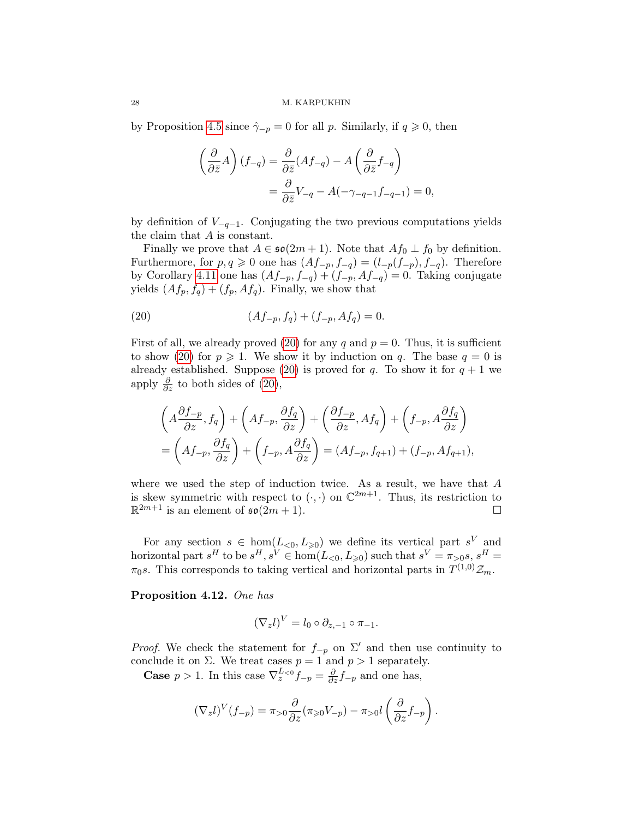by Proposition [4.5](#page-22-1) since  $\hat{\gamma}_{-p} = 0$  for all p. Similarly, if  $q \geq 0$ , then

$$
\left(\frac{\partial}{\partial \bar{z}}A\right)(f_{-q}) = \frac{\partial}{\partial \bar{z}}(Af_{-q}) - A\left(\frac{\partial}{\partial \bar{z}}f_{-q}\right)
$$

$$
= \frac{\partial}{\partial \bar{z}}V_{-q} - A(-\gamma_{-q-1}f_{-q-1}) = 0,
$$

by definition of  $V_{-q-1}$ . Conjugating the two previous computations yields the claim that *A* is constant.

Finally we prove that  $A \in \mathfrak{so}(2m+1)$ . Note that  $Af_0 \perp f_0$  by definition. Furthermore, for  $p, q \ge 0$  one has  $(Af_{-p}, f_{-q}) = (l_{-p}(f_{-p}), f_{-q})$ . Therefore by Corollary [4.11](#page-26-0) one has  $(Af_{-p}, f_{-q}) + (f_{-p}, Af_{-q}) = 0$ . Taking conjugate yields  $(Af_p, f_q) + (f_p, Af_q)$ . Finally, we show that

<span id="page-27-0"></span>(20) 
$$
(Af_{-p}, f_q) + (f_{-p}, Af_q) = 0.
$$

First of all, we already proved [\(20\)](#page-27-0) for any  $q$  and  $p = 0$ . Thus, it is sufficient to show [\(20\)](#page-27-0) for  $p \ge 1$ . We show it by induction on *q*. The base  $q = 0$  is already established. Suppose [\(20\)](#page-27-0) is proved for  $q$ . To show it for  $q + 1$  we apply  $\frac{\partial}{\partial z}$  to both sides of [\(20\)](#page-27-0),

$$
\left(A\frac{\partial f_{-p}}{\partial z}, f_q\right) + \left(Af_{-p}, \frac{\partial f_q}{\partial z}\right) + \left(\frac{\partial f_{-p}}{\partial z}, Af_q\right) + \left(f_{-p}, A\frac{\partial f_q}{\partial z}\right)
$$

$$
= \left(Af_{-p}, \frac{\partial f_q}{\partial z}\right) + \left(f_{-p}, A\frac{\partial f_q}{\partial z}\right) = (Af_{-p}, f_{q+1}) + (f_{-p}, Af_{q+1}),
$$

where we used the step of induction twice. As a result, we have that *A* is skew symmetric with respect to  $(\cdot, \cdot)$  on  $\mathbb{C}^{2m+1}$ . Thus, its restriction to  $\mathbb{R}^{2m+1}$  is an element of  $\mathfrak{so}(2m+1)$ .  $\mathbb{R}^{2m+1}$  is an element of  $\mathfrak{so}(2m+1)$ .

For any section  $s \in \text{hom}(L_{\leq 0}, L_{\geq 0})$  we define its vertical part  $s^V$  and horizontal part  $s^H$  to be  $s^H, s^V \in \text{hom}(L_{\leq 0}, L_{\geq 0})$  such that  $s^V = \pi_{>0} s, s^H =$  $\pi_0 s$ . This corresponds to taking vertical and horizontal parts in  $T^{(1,0)}\mathcal{Z}_m$ .

<span id="page-27-1"></span>Proposition 4.12. *One has*

$$
(\nabla_z l)^V = l_0 \circ \partial_{z,-1} \circ \pi_{-1}.
$$

*Proof.* We check the statement for  $f_{-p}$  on  $\Sigma'$  and then use continuity to conclude it on  $\Sigma$ . We treat cases  $p = 1$  and  $p > 1$  separately.

**Case**  $p > 1$ . In this case  $\nabla_z^{L < 0} f_{-p} = \frac{\partial}{\partial z} f_{-p}$  and one has,

$$
(\nabla_z l)^V(f_{-p}) = \pi_{>0}\frac{\partial}{\partial z}(\pi_{\geq 0}V_{-p}) - \pi_{>0}l\left(\frac{\partial}{\partial z}f_{-p}\right).
$$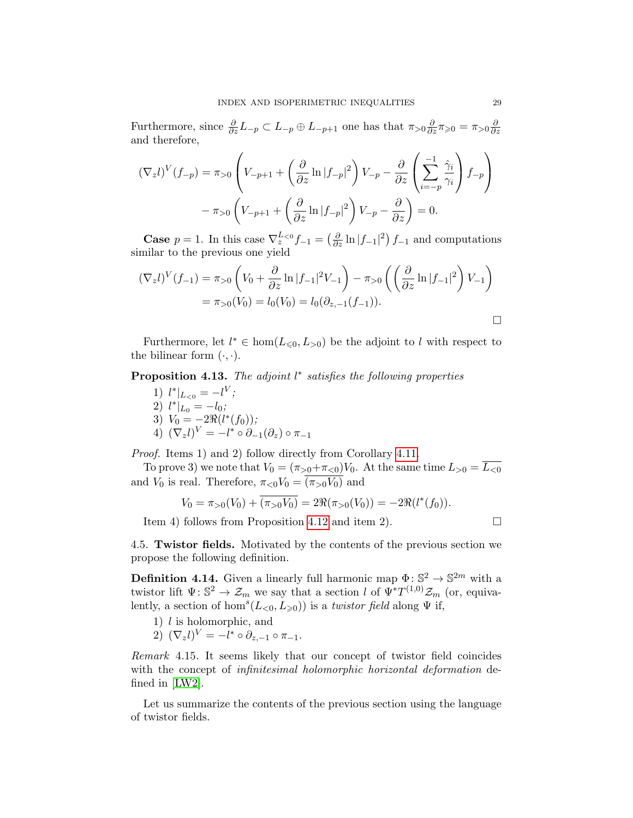Furthermore, since  $\frac{\partial}{\partial z}L_{-p} \subset L_{-p} \oplus L_{-p+1}$  one has that  $\pi_{>0} \frac{\partial}{\partial z} \pi_{\geqslant 0} = \pi_{>0} \frac{\partial}{\partial z}$ @*z* and therefore,

$$
(\nabla_z l)^V(f_{-p}) = \pi_{>0} \left( V_{-p+1} + \left( \frac{\partial}{\partial z} \ln |f_{-p}|^2 \right) V_{-p} - \frac{\partial}{\partial z} \left( \sum_{i=-p}^{-1} \frac{\hat{\gamma}_i}{\gamma_i} \right) f_{-p} \right)
$$

$$
- \pi_{>0} \left( V_{-p+1} + \left( \frac{\partial}{\partial z} \ln |f_{-p}|^2 \right) V_{-p} - \frac{\partial}{\partial z} \right) = 0.
$$

**Case**  $p = 1$ . In this case  $\nabla_z^{L_{<0}} f_{-1} = \left(\frac{\partial}{\partial z} \ln |f_{-1}|^2\right) f_{-1}$  and computations similar to the previous one yield

$$
(\nabla_z l)^V(f_{-1}) = \pi_{>0} \left( V_0 + \frac{\partial}{\partial z} \ln |f_{-1}|^2 V_{-1} \right) - \pi_{>0} \left( \left( \frac{\partial}{\partial z} \ln |f_{-1}|^2 \right) V_{-1} \right)
$$
  
=  $\pi_{>0}(V_0) = l_0(V_0) = l_0(\partial_{z,-1}(f_{-1})).$ 

Furthermore, let  $l^* \in \text{hom}(L_{\leq 0}, L_{>0})$  be the adjoint to *l* with respect to the bilinear form  $(\cdot, \cdot)$ .

<span id="page-28-1"></span>**Proposition 4.13.** *The adjoint*  $l^*$  *satisfies the following properties* 

1)  $l^*|_{L_{< 0}} = -l^V;$ 2)  $l^*|_{L_0} = -l_0;$ 3)  $V_0 = -2\Re(l^*(f_0));$ 4)  $(\nabla_z l)^V = -l^* \circ \partial_{-1}(\partial_z) \circ \pi_{-1}$ 

*Proof.* Items 1) and 2) follow directly from Corollary [4.11.](#page-26-0)

To prove 3) we note that  $V_0 = (\pi_{>0} + \pi_{<0})V_0$ . At the same time  $L_{>0} = \overline{L_{<0}}$ and  $V_0$  is real. Therefore,  $\pi_{\leq 0} V_0 = \overline{(\pi_{>0} V_0)}$  and

$$
V_0 = \pi_{>0}(V_0) + \overline{(\pi_{>0}V_0)} = 2\Re(\pi_{>0}(V_0)) = -2\Re(l^*(f_0)).
$$

Item 4) follows from Proposition [4.12](#page-27-1) and item 2).  $\Box$ 

<span id="page-28-0"></span>4.5. Twistor fields. Motivated by the contents of the previous section we propose the following definition.

**Definition 4.14.** Given a linearly full harmonic map  $\Phi: \mathbb{S}^2 \to \mathbb{S}^{2m}$  with a twistor lift  $\Psi: \mathbb{S}^2 \to \mathcal{Z}_m$  we say that a section *l* of  $\Psi^*T^{(1,0)}\mathcal{Z}_m$  (or, equivalently, a section of hom<sup>s</sup> $(L_{< 0}, L_{\geq 0})$  is a *twistor field* along  $\Psi$  if,

- 1) *l* is holomorphic, and
- 2)  $(\nabla_z l)^V = -l^* \circ \partial_{z,-1} \circ \pi_{-1}.$

*Remark* 4.15*.* It seems likely that our concept of twistor field coincides with the concept of *infinitesimal holomorphic horizontal deformation* defined in [\[LW2\]](#page-34-10).

Let us summarize the contents of the previous section using the language of twistor fields.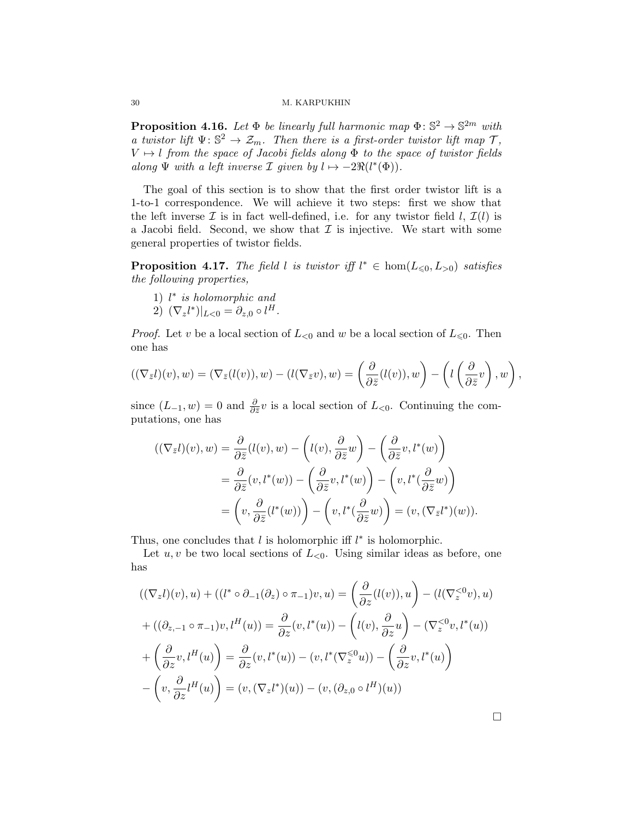**Proposition 4.16.** Let  $\Phi$  be linearly full harmonic map  $\Phi$ :  $\mathbb{S}^2 \to \mathbb{S}^{2m}$  with *a twistor lift*  $\Psi: \mathbb{S}^2 \to \mathcal{Z}_m$ *. Then there is a first-order twistor lift map*  $\mathcal{T}$ *,*  $V \mapsto l$  *from the space of Jacobi fields along*  $\Phi$  *to the space of twistor fields along*  $\Psi$  *with a left inverse*  $\mathcal I$  *given by*  $l \mapsto -2\Re(l^*(\Phi))$ *.* 

The goal of this section is to show that the first order twistor lift is a 1-to-1 correspondence. We will achieve it two steps: first we show that the left inverse  $\mathcal I$  is in fact well-defined, i.e. for any twistor field  $l, \mathcal I(l)$  is a Jacobi field. Second, we show that  $\mathcal I$  is injective. We start with some general properties of twistor fields.

**Proposition 4.17.** The field *l* is twistor iff  $l^* \in \text{hom}(L_{\leq 0}, L_{>0})$  satisfies *the following properties,*

- 1) *l* ⇤ *is holomorphic and*
- 2)  $(\nabla_z l^*)|_{L<0} = \partial_{z,0} \circ l^H.$

*Proof.* Let *v* be a local section of  $L_{<0}$  and *w* be a local section of  $L_{<0}$ . Then one has

$$
((\nabla_{\bar{z}}l)(v), w) = (\nabla_{\bar{z}}(l(v)), w) - (l(\nabla_{\bar{z}}v), w) = \left(\frac{\partial}{\partial \bar{z}}(l(v)), w\right) - \left(l\left(\frac{\partial}{\partial \bar{z}}v\right), w\right),
$$

since  $(L_{-1}, w) = 0$  and  $\frac{\partial}{\partial \bar{z}} v$  is a local section of  $L_{\leq 0}$ . Continuing the computations, one has

$$
\begin{aligned} ((\nabla_{\bar{z}}l)(v), w) &= \frac{\partial}{\partial \bar{z}}(l(v), w) - \left(l(v), \frac{\partial}{\partial \bar{z}}w\right) - \left(\frac{\partial}{\partial \bar{z}}v, l^*(w)\right) \\ &= \frac{\partial}{\partial \bar{z}}(v, l^*(w)) - \left(\frac{\partial}{\partial \bar{z}}v, l^*(w)\right) - \left(v, l^*(\frac{\partial}{\partial \bar{z}}w)\right) \\ &= \left(v, \frac{\partial}{\partial \bar{z}}(l^*(w))\right) - \left(v, l^*(\frac{\partial}{\partial \bar{z}}w)\right) = (v, (\nabla_{\bar{z}}l^*)(w)). \end{aligned}
$$

Thus, one concludes that  $l$  is holomorphic iff  $l^*$  is holomorphic.

Let  $u, v$  be two local sections of  $L_{\leq 0}$ . Using similar ideas as before, one has

$$
((\nabla_z l)(v), u) + ((l^* \circ \partial_{-1}(\partial_z) \circ \pi_{-1})v, u) = \left(\frac{\partial}{\partial z}(l(v)), u\right) - (l(\nabla_z^{<0}v), u)
$$
  
+ 
$$
((\partial_{z,-1} \circ \pi_{-1})v, l^H(u)) = \frac{\partial}{\partial z}(v, l^*(u)) - (l(v), \frac{\partial}{\partial z}u) - (\nabla_z^{<0}v, l^*(u))
$$
  
+ 
$$
\left(\frac{\partial}{\partial z}v, l^H(u)\right) = \frac{\partial}{\partial z}(v, l^*(u)) - (v, l^*(\nabla_z^{<0}u)) - \left(\frac{\partial}{\partial z}v, l^*(u)\right)
$$
  
- 
$$
\left(v, \frac{\partial}{\partial z}l^H(u)\right) = (v, (\nabla_z l^*)(u)) - (v, (\partial_{z,0} \circ l^H)(u))
$$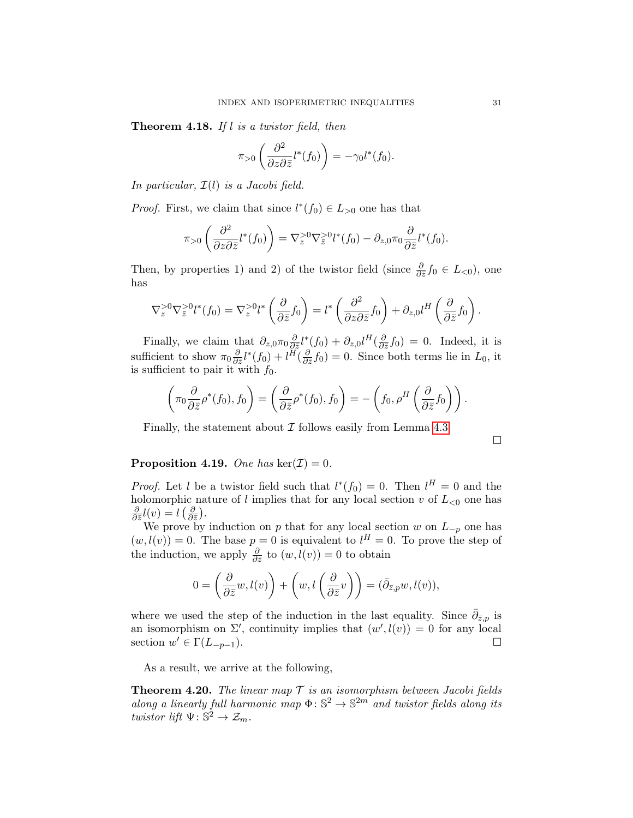Theorem 4.18. *If l is a twistor field, then*

$$
\pi_{>0}\left(\frac{\partial^2}{\partial z \partial \bar{z}}l^*(f_0)\right) = -\gamma_0 l^*(f_0).
$$

*In particular, I*(*l*) *is a Jacobi field.*

*Proof.* First, we claim that since  $l^*(f_0) \in L_{>0}$  one has that

$$
\pi_{>0}\left(\frac{\partial^2}{\partial z \partial \bar{z}}l^*(f_0)\right) = \nabla_z^{>0} \nabla_{\bar{z}}^{>0} l^*(f_0) - \partial_{z,0} \pi_0 \frac{\partial}{\partial \bar{z}}l^*(f_0).
$$

Then, by properties 1) and 2) of the twistor field (since  $\frac{\partial}{\partial \bar{z}} f_0 \in L_{< 0}$ ), one has

$$
\nabla_z^{>0} \nabla_{\bar{z}}^{>0} l^*(f_0) = \nabla_z^{>0} l^*\left(\frac{\partial}{\partial \bar{z}} f_0\right) = l^*\left(\frac{\partial^2}{\partial z \partial \bar{z}} f_0\right) + \partial_{z,0} l^H\left(\frac{\partial}{\partial \bar{z}} f_0\right).
$$

Finally, we claim that  $\partial_{z,0}\pi_0 \frac{\partial}{\partial \bar{z}}l^*(f_0) + \partial_{z,0}l^H(\frac{\partial}{\partial \bar{z}}f_0) = 0$ . Indeed, it is sufficient to show  $\pi_0 \frac{\partial}{\partial \bar{z}} l^*(f_0) + l^H(\frac{\partial}{\partial \bar{z}} f_0) = 0$ . Since both terms lie in  $L_0$ , it is sufficient to pair it with  $f_0$ .

$$
\left(\pi_0\frac{\partial}{\partial \bar{z}}\rho^*(f_0), f_0\right) = \left(\frac{\partial}{\partial \bar{z}}\rho^*(f_0), f_0\right) = -\left(f_0, \rho^H\left(\frac{\partial}{\partial \bar{z}}f_0\right)\right).
$$

Finally, the statement about *I* follows easily from Lemma [4.3.](#page-19-1)

 $\Box$ 

# **Proposition 4.19.** *One has*  $\ker(\mathcal{I})=0$ *.*

*Proof.* Let *l* be a twistor field such that  $l^*(f_0) = 0$ . Then  $l^H = 0$  and the holomorphic nature of *l* implies that for any local section  $v$  of  $L_{\leq 0}$  one has  $\frac{\partial}{\partial \bar{z}}l(v) = l\left(\frac{\partial}{\partial \bar{z}}\right).$ 

We prove by induction on *p* that for any local section *w* on  $L_{-p}$  one has  $(w, l(v)) = 0$ . The base  $p = 0$  is equivalent to  $l^H = 0$ . To prove the step of the induction, we apply  $\frac{\partial}{\partial \bar{z}}$  to  $(w, l(v)) = 0$  to obtain

$$
0 = \left(\frac{\partial}{\partial \bar{z}}w, l(v)\right) + \left(w, l\left(\frac{\partial}{\partial \bar{z}}v\right)\right) = (\bar{\partial}_{\bar{z},p}w, l(v)),
$$

where we used the step of the induction in the last equality. Since  $\bar{\partial}_{\bar{z},p}$  is an isomorphism on  $\Sigma'$ , continuity implies that  $(w', l(v)) = 0$  for any local section  $w' \in \Gamma(L_{-p-1}).$ 

As a result, we arrive at the following,

<span id="page-30-0"></span>Theorem 4.20. *The linear map T is an isomorphism between Jacobi fields along a linearly full harmonic map*  $\Phi: \mathbb{S}^2 \to \mathbb{S}^{2m}$  *and twistor fields along its twistor lift*  $\Psi: \mathbb{S}^2 \to \mathcal{Z}_m$ *.*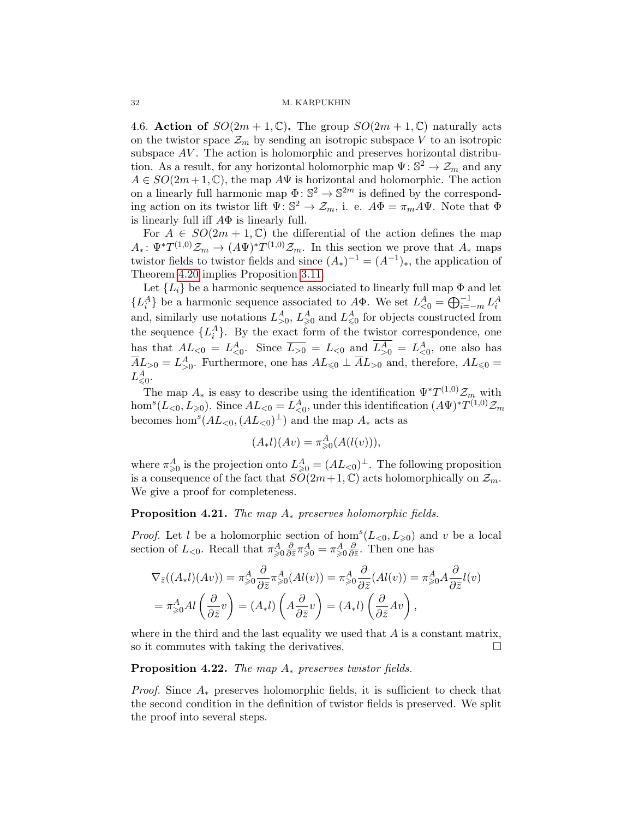<span id="page-31-0"></span>4.6. Action of  $SO(2m + 1, \mathbb{C})$ . The group  $SO(2m + 1, \mathbb{C})$  naturally acts on the twistor space  $\mathcal{Z}_m$  by sending an isotropic subspace V to an isotropic subspace AV. The action is holomorphic and preserves horizontal distribution. As a result, for any horizontal holomorphic map  $\Psi: \mathbb{S}^2 \to \mathcal{Z}_m$  and any  $A \in SO(2m+1, \mathbb{C})$ , the map  $A\Psi$  is horizontal and holomorphic. The action on a linearly full harmonic map  $\Phi: \mathbb{S}^2 \to \mathbb{S}^{2m}$  is defined by the corresponding action on its twistor lift  $\Psi: \mathbb{S}^2 \to \mathcal{Z}_m$ , i. e.  $A\Phi = \pi_m A \Psi$ . Note that  $\Phi$ is linearly full iff  $A\Phi$  is linearly full.

For  $A \in SO(2m + 1, \mathbb{C})$  the differential of the action defines the map  $A_* : \Psi^* T^{(1,0)} \mathcal{Z}_m \to (A\Psi)^* T^{(1,0)} \mathcal{Z}_m$ . In this section we prove that  $A_*$  maps twistor fields to twistor fields and since  $(A_*)^{-1} = (A^{-1})_*$ , the application of Theorem [4.20](#page-30-0) implies Proposition [3.11.](#page-12-2)

Let  ${L_i}$  be a harmonic sequence associated to linearly full map  $\Phi$  and let  $\{L_i^A\}$  be a harmonic sequence associated to  $A\Phi$ . We set  $L_{\leq 0}^A = \bigoplus_{i=-m}^{-1} L_i^A$ and, similarly use notations  $L_{>0}^A$ ,  $L_{\geq 0}^A$  and  $L_{\leq 0}^A$  for objects constructed from the sequence  ${L_i^A}$ . By the exact form of the twistor correspondence, one has that  $AL_{<0} = L_{<0}^A$ . Since  $\overline{L_{>0}} = L_{<0}$  and  $L_{>0}^A = L_{<0}^A$ , one also has  $\overline{A}L_{>0} = L_{>0}^{A}$ . Furthermore, one has  $AL_{\leq 0} \perp \overline{A}L_{>0}$  and, therefore,  $AL_{\leq 0} =$  $L^A_{\leqslant 0}.$ 

The map  $A_*$  is easy to describe using the identification  $\Psi^* T^{(1,0)} \mathcal{Z}_m$  with  $\hom^s(L_{\leq 0}, L_{\geq 0})$ . Since  $AL_{\leq 0} = L_{\leq 0}^A$ , under this identification  $(A\Psi)^*T^{(1,0)}\mathcal{Z}_m$ becomes hom<sup>*s*</sup>( $AL_{<0}$ ,  $(AL_{<0})^{\perp}$ ) and the map  $A_*$  acts as

$$
(A_*l)(Av) = \pi^A_{\geq 0}(A(l(v))),
$$

where  $\pi_{\geqslant 0}^A$  is the projection onto  $L_{\geqslant 0}^A = (AL_{\leqslant 0})^\perp$ . The following proposition is a consequence of the fact that  $SO(2m+1,\mathbb{C})$  acts holomorphically on  $\mathcal{Z}_m$ . We give a proof for completeness.

# **Proposition 4.21.** *The map*  $A_*$  *preserves holomorphic fields.*

*Proof.* Let *l* be a holomorphic section of hom<sup>*s*</sup>( $L<sub>0</sub>, L<sub>ge0</sub>$ ) and *v* be a local section of  $L_{<0}$ . Recall that  $\pi^A_{\geq 0} \frac{\partial}{\partial \bar{z}} \pi^A_{\geq 0} = \pi^A_{\geq 0} \frac{\partial}{\partial \bar{z}}$ . Then one has

$$
\nabla_{\bar{z}}((A_{*}l)(Av)) = \pi_{\geq 0}^{A} \frac{\partial}{\partial \bar{z}} \pi_{\geq 0}^{A}(Al(v)) = \pi_{\geq 0}^{A} \frac{\partial}{\partial \bar{z}}(Al(v)) = \pi_{\geq 0}^{A} A \frac{\partial}{\partial \bar{z}}l(v)
$$

$$
= \pi_{\geq 0}^{A} Al\left(\frac{\partial}{\partial \bar{z}}v\right) = (A_{*}l)\left(A\frac{\partial}{\partial \bar{z}}v\right) = (A_{*}l)\left(\frac{\partial}{\partial \bar{z}}Av\right),
$$

where in the third and the last equality we used that *A* is a constant matrix, so it commutes with taking the derivatives.  $\Box$ 

### **Proposition 4.22.** *The map*  $A_*$  *preserves twistor fields.*

*Proof.* Since  $A_*$  preserves holomorphic fields, it is sufficient to check that the second condition in the definition of twistor fields is preserved. We split the proof into several steps.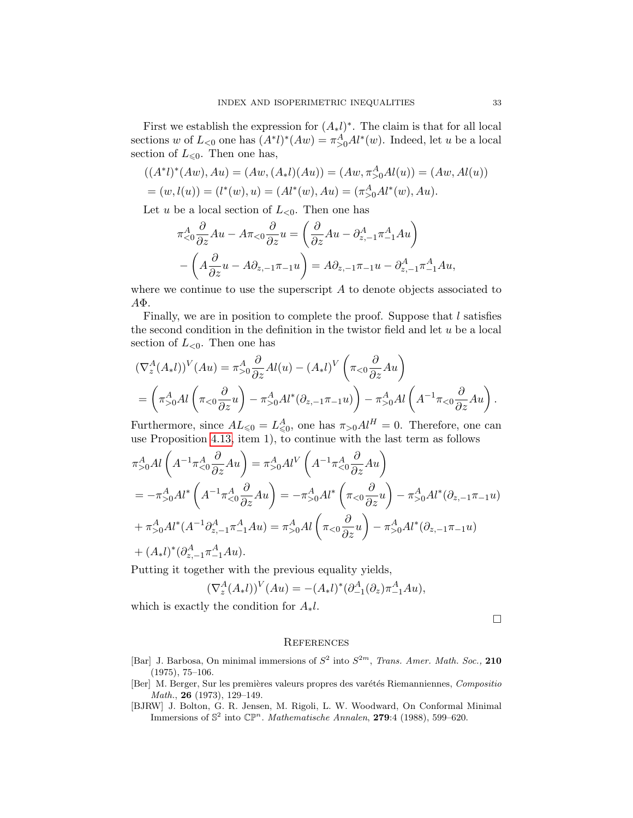First we establish the expression for  $(A_*l)^*$ . The claim is that for all local sections *w* of  $L_{< 0}$  one has  $(A^*l)^*(Aw) = \pi^A_{> 0} A l^*(w)$ . Indeed, let *u* be a local section of  $L_{\leq 0}$ . Then one has,

$$
((A^*l)^*(Aw), Au) = (Aw, (A_*l)(Au)) = (Aw, \pi_{>0}^A Al(u)) = (Aw, Al(u))
$$
  
=  $(w, l(u)) = (l^*(w), u) = (Al^*(w), Au) = (\pi_{>0}^A Al^*(w), Au).$ 

Let *u* be a local section of  $L_{\leq 0}$ . Then one has

$$
\pi_{<0}^A \frac{\partial}{\partial z} A u - A \pi_{<0} \frac{\partial}{\partial z} u = \left( \frac{\partial}{\partial z} A u - \partial_{z,-1}^A \pi_{-1}^A A u \right) - \left( A \frac{\partial}{\partial z} u - A \partial_{z,-1} \pi_{-1} u \right) = A \partial_{z,-1} \pi_{-1} u - \partial_{z,-1}^A \pi_{-1}^A A u,
$$

where we continue to use the superscript *A* to denote objects associated to  $A\Phi$ .

Finally, we are in position to complete the proof. Suppose that *l* satisfies the second condition in the definition in the twistor field and let *u* be a local section of  $L_{\leq 0}$ . Then one has

$$
\begin{split} & (\nabla_z^A (A_* l))^V (Au) = \pi_{>0}^A \frac{\partial}{\partial z} Al(u) - (A_* l)^V \left( \pi_{<0} \frac{\partial}{\partial z} Au \right) \\ & = \left( \pi_{>0}^A Al \left( \pi_{<0} \frac{\partial}{\partial z} u \right) - \pi_{>0}^A Al^* (\partial_{z,-1} \pi_{-1} u) \right) - \pi_{>0}^A Al \left( A^{-1} \pi_{<0} \frac{\partial}{\partial z} Au \right). \end{split}
$$

Furthermore, since  $AL_{\leq 0} = L_{\leq 0}^A$ , one has  $\pi_{>0}Al^H = 0$ . Therefore, one can use Proposition [4.13,](#page-28-1) item 1), to continue with the last term as follows

$$
\pi_{>0}^{A} Al \left( A^{-1} \pi_{<0}^{A} \frac{\partial}{\partial z} A u \right) = \pi_{>0}^{A} Al^{V} \left( A^{-1} \pi_{<0}^{A} \frac{\partial}{\partial z} A u \right)
$$
  
\n
$$
= -\pi_{>0}^{A} Al^{*} \left( A^{-1} \pi_{<0}^{A} \frac{\partial}{\partial z} A u \right) = -\pi_{>0}^{A} Al^{*} \left( \pi_{<0} \frac{\partial}{\partial z} u \right) - \pi_{>0}^{A} Al^{*} (\partial_{z,-1} \pi_{-1} u)
$$
  
\n
$$
+ \pi_{>0}^{A} Al^{*} (A^{-1} \partial_{z,-1}^{A} \pi_{-1}^{A} A u) = \pi_{>0}^{A} Al \left( \pi_{<0} \frac{\partial}{\partial z} u \right) - \pi_{>0}^{A} Al^{*} (\partial_{z,-1} \pi_{-1} u)
$$
  
\n
$$
+ (A_{*} l)^{*} (\partial_{z,-1}^{A} \pi_{-1}^{A} A u).
$$

Putting it together with the previous equality yields,

$$
(\nabla_z^A(A_*l))^V(Au) = -(A_*l)^*(\partial_{-1}^A(\partial_z)\pi_{-1}^A Au),
$$

which is exactly the condition for  $A_*l$ .

 $\Box$ 

# **REFERENCES**

- <span id="page-32-0"></span>[Bar] J. Barbosa, On minimal immersions of  $S^2$  into  $S^{2m}$ , *Trans. Amer. Math. Soc.*, 210 (1975), 75–106.
- <span id="page-32-1"></span>[Ber] M. Berger, Sur les premières valeurs propres des varétés Riemanniennes, *Compositio Math.*, 26 (1973), 129–149.
- <span id="page-32-2"></span>[BJRW] J. Bolton, G. R. Jensen, M. Rigoli, L. W. Woodward, On Conformal Minimal Immersions of  $\mathbb{S}^2$  into  $\mathbb{CP}^n$ . *Mathematische Annalen*, **279**:4 (1988), 599–620.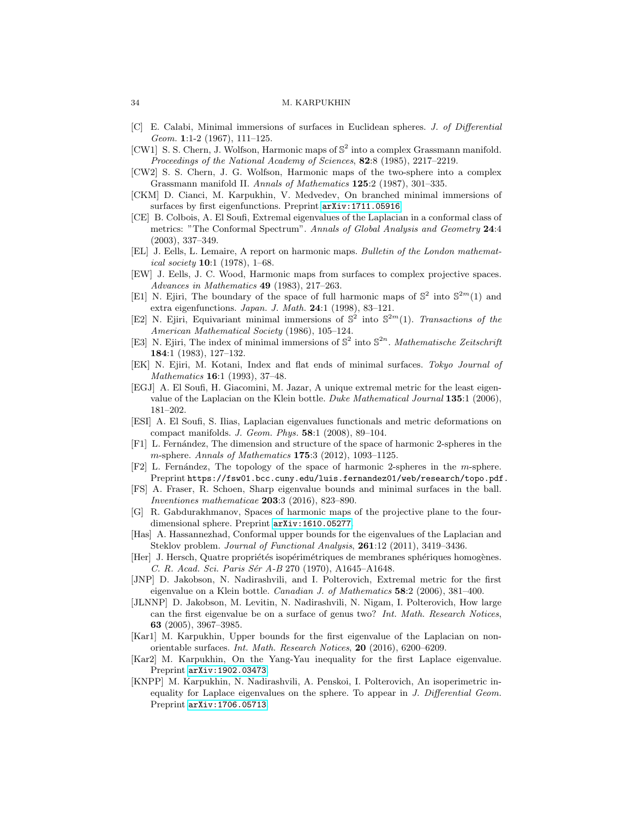- <span id="page-33-12"></span>[C] E. Calabi, Minimal immersions of surfaces in Euclidean spheres. *J. of Differential Geom.* 1:1-2 (1967), 111–125.
- <span id="page-33-21"></span>[CW1] S. S. Chern, J. Wolfson, Harmonic maps of  $\mathbb{S}^2$  into a complex Grassmann manifold. *Proceedings of the National Academy of Sciences*, 82:8 (1985), 2217–2219.
- <span id="page-33-22"></span>[CW2] S. S. Chern, J. G. Wolfson, Harmonic maps of the two-sphere into a complex Grassmann manifold II. *Annals of Mathematics* 125:2 (1987), 301–335.
- <span id="page-33-4"></span>[CKM] D. Cianci, M. Karpukhin, V. Medvedev, On branched minimal immersions of surfaces by first eigenfunctions. Preprint  $arXiv:1711.05916$ .
- <span id="page-33-9"></span>[CE] B. Colbois, A. El Soufi, Extremal eigenvalues of the Laplacian in a conformal class of metrics: "The Conformal Spectrum". *Annals of Global Analysis and Geometry* 24:4 (2003), 337–349.
- <span id="page-33-15"></span>[EL] J. Eells, L. Lemaire, A report on harmonic maps. *Bulletin of the London mathematical society* 10:1 (1978), 1–68.
- <span id="page-33-23"></span>[EW] J. Eells, J. C. Wood, Harmonic maps from surfaces to complex projective spaces. *Advances in Mathematics* 49 (1983), 217–263.
- <span id="page-33-14"></span>[E1] N. Ejiri, The boundary of the space of full harmonic maps of  $\mathbb{S}^2$  into  $\mathbb{S}^{2m}(1)$  and extra eigenfunctions. *Japan. J. Math.* 24:1 (1998), 83–121.
- <span id="page-33-16"></span>[E2] N. Ejiri, Equivariant minimal immersions of  $\mathbb{S}^2$  into  $\mathbb{S}^{2m}(1)$ . *Transactions of the American Mathematical Society* (1986), 105–124.
- <span id="page-33-13"></span>[E3] N. Ejiri, The index of minimal immersions of  $\mathbb{S}^2$  into  $\mathbb{S}^{2n}$ . *Mathematische Zeitschrift* 184:1 (1983), 127–132.
- <span id="page-33-19"></span>[EK] N. Ejiri, M. Kotani, Index and flat ends of minimal surfaces. *Tokyo Journal of Mathematics* 16:1 (1993), 37–48.
- <span id="page-33-6"></span>[EGJ] A. El Soufi, H. Giacomini, M. Jazar, A unique extremal metric for the least eigenvalue of the Laplacian on the Klein bottle. *Duke Mathematical Journal* 135:1 (2006), 181–202.
- <span id="page-33-10"></span>[ESI] A. El Soufi, S. Ilias, Laplacian eigenvalues functionals and metric deformations on compact manifolds. *J. Geom. Phys.* 58:1 (2008), 89–104.
- <span id="page-33-20"></span>[F1] L. Fern´andez, The dimension and structure of the space of harmonic 2-spheres in the *m*-sphere. *Annals of Mathematics* 175:3 (2012), 1093–1125.
- <span id="page-33-18"></span>[F2] L. Fern´andez, The topology of the space of harmonic 2-spheres in the *m*-sphere. Preprint https://fsw01.bcc.cuny.edu/luis.fernandez01/web/research/topo.pdf.
- <span id="page-33-11"></span>[FS] A. Fraser, R. Schoen, Sharp eigenvalue bounds and minimal surfaces in the ball. *Inventiones mathematicae* 203:3 (2016), 823–890.
- <span id="page-33-17"></span>[G] R. Gabdurakhmanov, Spaces of harmonic maps of the projective plane to the fourdimensional sphere. Preprint [arXiv:1610.05277](http://arxiv.org/abs/1610.05277).
- <span id="page-33-8"></span>[Has] A. Hassannezhad, Conformal upper bounds for the eigenvalues of the Laplacian and Steklov problem. *Journal of Functional Analysis*, 261:12 (2011), 3419–3436.
- <span id="page-33-3"></span>[Her] J. Hersch, Quatre propriétés isopérimétriques de membranes sphériques homogènes. *C. R. Acad. Sci. Paris S´er A-B* 270 (1970), A1645–A1648.
- <span id="page-33-5"></span>[JNP] D. Jakobson, N. Nadirashvili, and I. Polterovich, Extremal metric for the first eigenvalue on a Klein bottle. *Canadian J. of Mathematics* 58:2 (2006), 381–400.
- <span id="page-33-7"></span>[JLNNP] D. Jakobson, M. Levitin, N. Nadirashvili, N. Nigam, I. Polterovich, How large can the first eigenvalue be on a surface of genus two? *Int. Math. Research Notices*, 63 (2005), 3967–3985.
- <span id="page-33-1"></span>[Kar1] M. Karpukhin, Upper bounds for the first eigenvalue of the Laplacian on nonorientable surfaces. *Int. Math. Research Notices*, 20 (2016), 6200–6209.
- <span id="page-33-2"></span>[Kar2] M. Karpukhin, On the Yang-Yau inequality for the first Laplace eigenvalue. Preprint [arXiv:1902.03473](http://arxiv.org/abs/1902.03473).
- <span id="page-33-0"></span>[KNPP] M. Karpukhin, N. Nadirashvili, A. Penskoi, I. Polterovich, An isoperimetric inequality for Laplace eigenvalues on the sphere. To appear in *J. Differential Geom.* Preprint [arXiv:1706.05713](http://arxiv.org/abs/1706.05713).